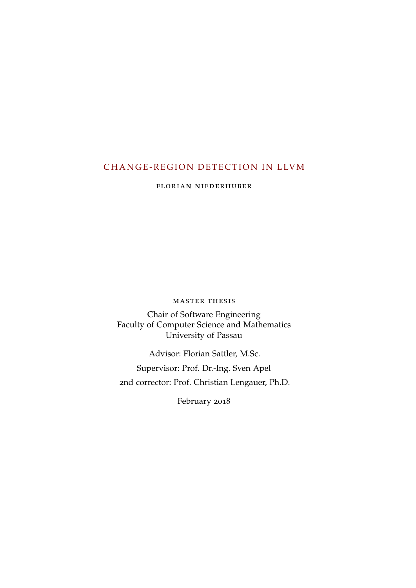# <span id="page-0-0"></span>CHANGE-REGION DETECTION IN LLVM

florian niederhuber

master thesis

Chair of Software Engineering Faculty of Computer Science and Mathematics University of Passau

Advisor: Florian Sattler, M.Sc. Supervisor: Prof. Dr.-Ing. Sven Apel 2nd corrector: Prof. Christian Lengauer, Ph.D.

February 2018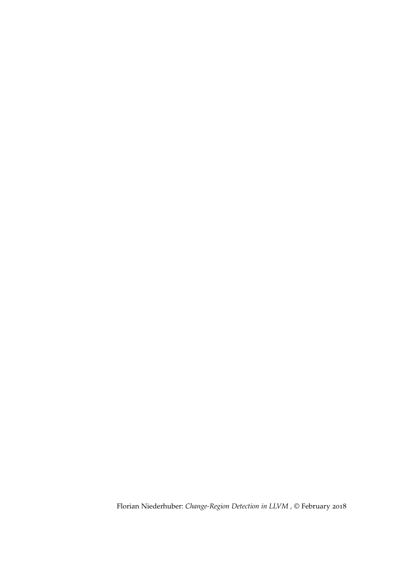Florian Niederhuber: *Change-Region Detection in LLVM ,* © February 2018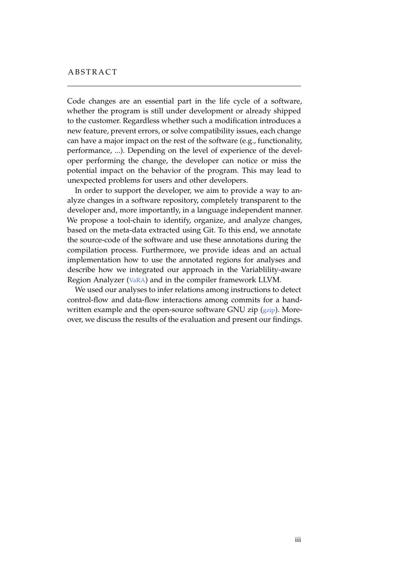## **ABSTRACT**

Code changes are an essential part in the life cycle of a software, whether the program is still under development or already shipped to the customer. Regardless whether such a modification introduces a new feature, prevent errors, or solve compatibility issues, each change can have a major impact on the rest of the software (e.g., functionality, performance, ...). Depending on the level of experience of the developer performing the change, the developer can notice or miss the potential impact on the behavior of the program. This may lead to unexpected problems for users and other developers.

In order to support the developer, we aim to provide a way to analyze changes in a software repository, completely transparent to the developer and, more importantly, in a language independent manner. We propose a tool-chain to identify, organize, and analyze changes, based on the meta-data extracted using Git. To this end, we annotate the source-code of the software and use these annotations during the compilation process. Furthermore, we provide ideas and an actual implementation how to use the annotated regions for analyses and describe how we integrated our approach in the Variablility-aware Region Analyzer ([VaRA](#page-10-0)) and in the compiler framework LLVM.

We used our analyses to infer relations among instructions to detect control-flow and data-flow interactions among commits for a handwritten example and the open-source software GNU zip ([gzip](#page-10-1)). Moreover, we discuss the results of the evaluation and present our findings.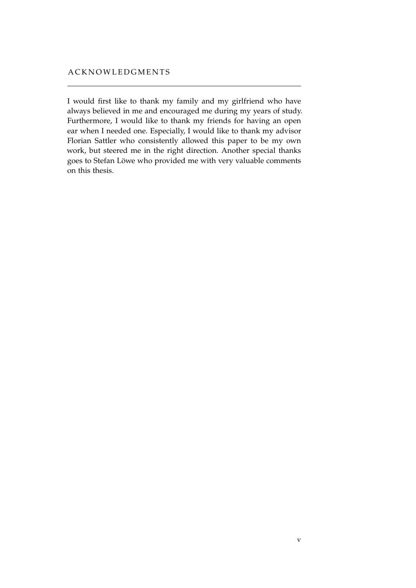I would first like to thank my family and my girlfriend who have always believed in me and encouraged me during my years of study. Furthermore, I would like to thank my friends for having an open ear when I needed one. Especially, I would like to thank my advisor Florian Sattler who consistently allowed this paper to be my own work, but steered me in the right direction. Another special thanks goes to Stefan Löwe who provided me with very valuable comments on this thesis.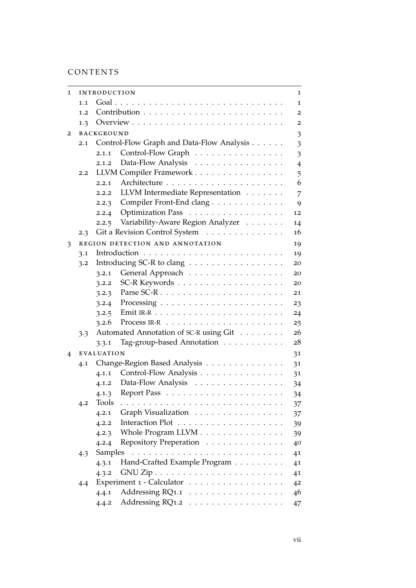# CONTENTS

| 1 |                                                  | INTRODUCTION<br>1 |                                                             |                |
|---|--------------------------------------------------|-------------------|-------------------------------------------------------------|----------------|
|   | 1.1                                              | 1                 |                                                             |                |
|   | 1.2                                              |                   |                                                             |                |
|   | 1.3                                              |                   |                                                             | 2              |
| 2 |                                                  | <b>BACKGROUND</b> |                                                             |                |
|   | Control-Flow Graph and Data-Flow Analysis<br>2.1 |                   | 3<br>3                                                      |                |
|   |                                                  | 2.1.1             | Control-Flow Graph                                          | 3              |
|   |                                                  | 2.1.2             | Data-Flow Analysis                                          | $\overline{4}$ |
|   | 2.2                                              |                   | LLVM Compiler Framework                                     | 5              |
|   |                                                  | 2.2.1             |                                                             | 6              |
|   |                                                  | 2.2.2             | LLVM Intermediate Representation                            | 7              |
|   |                                                  | 2.2.3             | Compiler Front-End clang                                    | 9              |
|   |                                                  | 2.2.4             | Optimization Pass                                           | 12             |
|   |                                                  | 2.2.5             | Variability-Aware Region Analyzer                           | 14             |
|   | 2.3                                              |                   | Git a Revision Control System                               | 16             |
| 3 |                                                  |                   | REGION DETECTION AND ANNOTATION                             | 19             |
|   | 3.1                                              |                   |                                                             | 19             |
|   | 3.2                                              |                   | Introducing SC-R to clang                                   | 20             |
|   |                                                  | 3.2.1             | General Approach                                            | 20             |
|   |                                                  | 3.2.2             | $SC-R$ Keywords $\ldots \ldots \ldots \ldots \ldots \ldots$ | 20             |
|   |                                                  | 3.2.3             |                                                             | 21             |
|   |                                                  | 3.2.4             |                                                             | 23             |
|   |                                                  | 3.2.5             |                                                             | 24             |
|   | 3.2.6                                            |                   | 25                                                          |                |
|   | 3.3                                              |                   | Automated Annotation of SC-R using Git                      | 26             |
|   |                                                  | 3.3.1             | Tag-group-based Annotation                                  | 28             |
| 4 | <b>EVALUATION</b>                                |                   |                                                             | 31             |
|   | 4.1                                              |                   | Change-Region Based Analysis                                | 31             |
|   |                                                  | 4.1.1             | Control-Flow Analysis                                       | 31             |
|   |                                                  | 4.1.2             | Data-Flow Analysis                                          | 34             |
|   |                                                  | 4.1.3             |                                                             | 34             |
|   | 4.2                                              | Tools             |                                                             | 37             |
|   |                                                  | 4.2.1             | Graph Visualization                                         | 37             |
|   |                                                  | 4.2.2             |                                                             | 39             |
|   |                                                  | 4.2.3             | Whole Program LLVM                                          | 39             |
|   |                                                  | 4.2.4             | Repository Preperation                                      | 40             |
|   | 4.3                                              | Samples           |                                                             | 41             |
|   |                                                  | 4.3.1             | Hand-Crafted Example Program                                | 41             |
|   |                                                  | 4.3.2             |                                                             | 41             |
|   | 4.4                                              |                   | Experiment 1 - Calculator                                   | 4 <sup>2</sup> |
|   |                                                  | 4.4.1             | Addressing RQ1.1                                            | 46             |
|   |                                                  | 4.4.2             | Addressing RQ1.2                                            | 47             |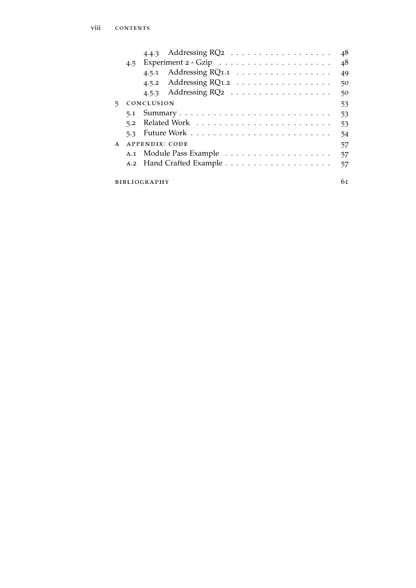|                     |                      | 4.4.3 Addressing $RQ_2$  | 48 |  |
|---------------------|----------------------|--------------------------|----|--|
|                     |                      | 4.5                      |    |  |
|                     |                      | 4.5.1 Addressing RQ1.1   | 49 |  |
|                     |                      | 4.5.2 Addressing $RQ1.2$ | 50 |  |
|                     |                      | 4.5.3 Addressing $RQ_2$  | 50 |  |
| 5.                  |                      | CONCLUSION               | 53 |  |
|                     |                      |                          | 53 |  |
|                     |                      |                          | 53 |  |
|                     |                      |                          | 54 |  |
| $\mathsf{A}$        | APPENDIX: CODE<br>57 |                          |    |  |
|                     |                      |                          | 57 |  |
|                     |                      |                          | 57 |  |
|                     |                      |                          | 61 |  |
| <b>BIBLIOGRAPHY</b> |                      |                          |    |  |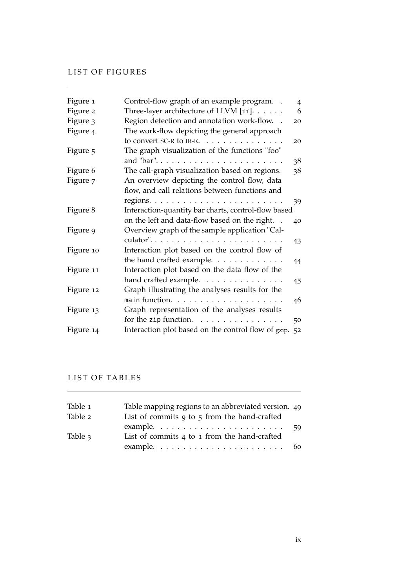## LIST OF FIGURES

| Figure 1  | Control-flow graph of an example program. .         | 4  |
|-----------|-----------------------------------------------------|----|
| Figure 2  | Three-layer architecture of LLVM $[11]$ .           | 6  |
| Figure 3  | Region detection and annotation work-flow. .        | 20 |
| Figure 4  | The work-flow depicting the general approach        |    |
|           | to convert SC-R to IR-R. $\ldots$ ,                 | 20 |
| Figure 5  | The graph visualization of the functions "foo"      |    |
|           | and "bar"                                           | 38 |
| Figure 6  | The call-graph visualization based on regions.      | 38 |
| Figure 7  | An overview depicting the control flow, data        |    |
|           | flow, and call relations between functions and      |    |
|           |                                                     | 39 |
| Figure 8  | Interaction-quantity bar charts, control-flow based |    |
|           | on the left and data-flow based on the right.       | 40 |
| Figure 9  | Overview graph of the sample application "Cal-      |    |
|           | culator"                                            | 43 |
| Figure 10 | Interaction plot based on the control flow of       |    |
|           | the hand crafted example.                           | 44 |
| Figure 11 | Interaction plot based on the data flow of the      |    |
|           | hand crafted example.                               | 45 |
| Figure 12 | Graph illustrating the analyses results for the     |    |
|           |                                                     | 46 |
| Figure 13 | Graph representation of the analyses results        |    |
|           | for the zip function. $\ldots$                      | 50 |
| Figure 14 | Interaction plot based on the control flow of gzip. | 52 |

## LIST OF TABLES

| Table 1 | Table mapping regions to an abbreviated version. 49                   |    |
|---------|-----------------------------------------------------------------------|----|
| Table 2 | List of commits $9$ to $5$ from the hand-crafted                      |    |
|         | example. $\dots \dots \dots \dots \dots \dots \dots \dots$            | 59 |
| Table 3 | List of commits 4 to 1 from the hand-crafted                          |    |
|         | example. $\ldots \ldots \ldots \ldots \ldots \ldots \ldots \ldots$ 60 |    |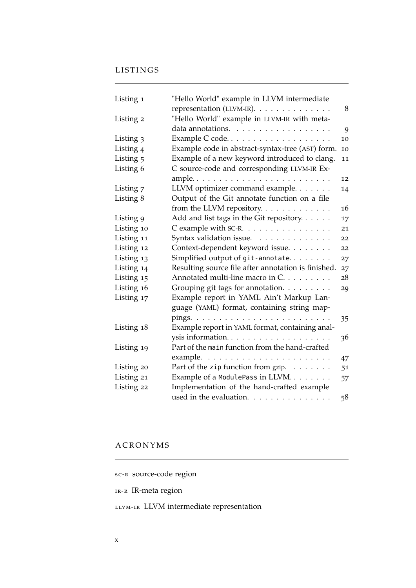# LISTINGS

| Listing 1            | "Hello World" example in LLVM intermediate          |    |
|----------------------|-----------------------------------------------------|----|
|                      | representation (LLVM-IR).                           | 8  |
| Listing 2            | "Hello World" example in LLVM-IR with meta-         |    |
|                      | data annotations.                                   | 9  |
| Listing 3            | Example C code                                      | 10 |
| Listing <sub>4</sub> | Example code in abstract-syntax-tree (AST) form.    | 10 |
| Listing 5            | Example of a new keyword introduced to clang.       | 11 |
| Listing 6            | C source-code and corresponding LLVM-IR Ex-         |    |
|                      |                                                     | 12 |
| Listing 7            | LLVM optimizer command example.                     | 14 |
| Listing 8            | Output of the Git annotate function on a file       |    |
|                      | from the LLVM repository.                           | 16 |
| Listing 9            | Add and list tags in the Git repository.            | 17 |
| Listing 10           | C example with SC-R.                                | 21 |
| Listing 11           | Syntax validation issue.                            | 22 |
| Listing 12           | Context-dependent keyword issue.                    | 22 |
| Listing 13           | Simplified output of $git$ -annotate                | 27 |
| Listing 14           | Resulting source file after annotation is finished. | 27 |
| Listing 15           | Annotated multi-line macro in C.                    | 28 |
| Listing 16           | Grouping git tags for annotation.                   | 29 |
| Listing 17           | Example report in YAML Ain't Markup Lan-            |    |
|                      | guage (YAML) format, containing string map-         |    |
|                      |                                                     | 35 |
| Listing 18           | Example report in YAML format, containing anal-     |    |
|                      |                                                     | 36 |
| Listing 19           | Part of the main function from the hand-crafted     |    |
|                      |                                                     | 47 |
| Listing 20           | Part of the zip function from gzip.                 | 51 |
| Listing 21           | Example of a ModulePass in LLVM                     | 57 |
| Listing 22           | Implementation of the hand-crafted example          |    |
|                      | used in the evaluation.                             | 58 |

# A C R O N Y M S

<span id="page-9-1"></span><span id="page-9-0"></span>

| sc-R source-code region |
|-------------------------|
| $IR-R$ IR-meta region   |

<span id="page-9-2"></span>LLVM-IR LLVM intermediate representation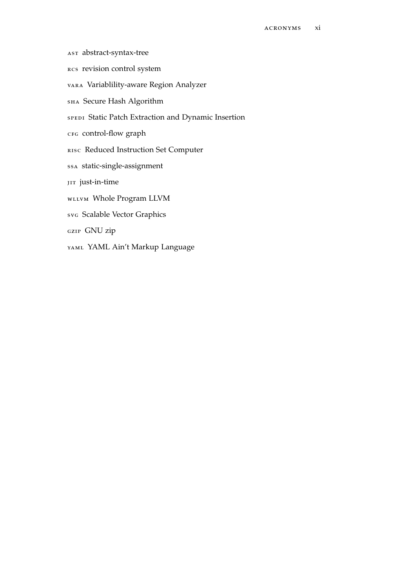- <span id="page-10-2"></span>ast abstract-syntax-tree
- <span id="page-10-4"></span>rcs revision control system
- <span id="page-10-0"></span>vara Variablility-aware Region Analyzer
- SHA Secure Hash Algorithm
- <span id="page-10-6"></span>SPEDI Static Patch Extraction and Dynamic Insertion
- <span id="page-10-5"></span>CFG control-flow graph
- <span id="page-10-7"></span>risc Reduced Instruction Set Computer
- <span id="page-10-8"></span>ssa static-single-assignment
- <span id="page-10-9"></span>JIT just-in-time
- WLLVM Whole Program LLVM
- svg Scalable Vector Graphics
- <span id="page-10-1"></span>gzip GNU zip
- <span id="page-10-3"></span>YAML Ain't Markup Language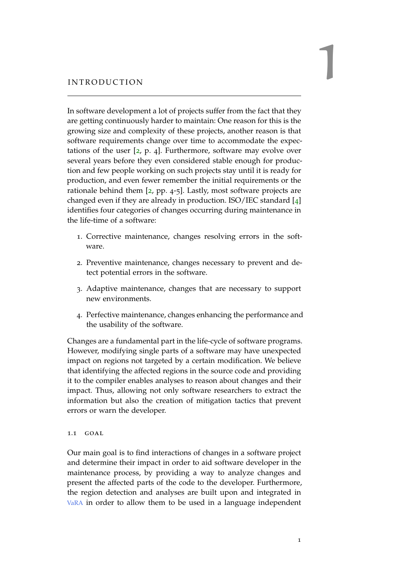<span id="page-12-0"></span>In software development a lot of projects suffer from the fact that they are getting continuously harder to maintain: One reason for this is the growing size and complexity of these projects, another reason is that software requirements change over time to accommodate the expectations of the user  $[2, p. 4]$  $[2, p. 4]$  $[2, p. 4]$ . Furthermore, software may evolve over several years before they even considered stable enough for production and few people working on such projects stay until it is ready for production, and even fewer remember the initial requirements or the rationale behind them [[2](#page-72-1), pp. 4-5]. Lastly, most software projects are changed even if they are already in production. ISO/IEC standard [[4](#page-72-2)] identifies four categories of changes occurring during maintenance in the life-time of a software:

- 1. Corrective maintenance, changes resolving errors in the software.
- 2. Preventive maintenance, changes necessary to prevent and detect potential errors in the software.
- 3. Adaptive maintenance, changes that are necessary to support new environments.
- 4. Perfective maintenance, changes enhancing the performance and the usability of the software.

Changes are a fundamental part in the life-cycle of software programs. However, modifying single parts of a software may have unexpected impact on regions not targeted by a certain modification. We believe that identifying the affected regions in the source code and providing it to the compiler enables analyses to reason about changes and their impact. Thus, allowing not only software researchers to extract the information but also the creation of mitigation tactics that prevent errors or warn the developer.

## <span id="page-12-1"></span>1.1 goal

Our main goal is to find interactions of changes in a software project and determine their impact in order to aid software developer in the maintenance process, by providing a way to analyze changes and present the affected parts of the code to the developer. Furthermore, the region detection and analyses are built upon and integrated in [VaRA](#page-10-0) in order to allow them to be used in a language independent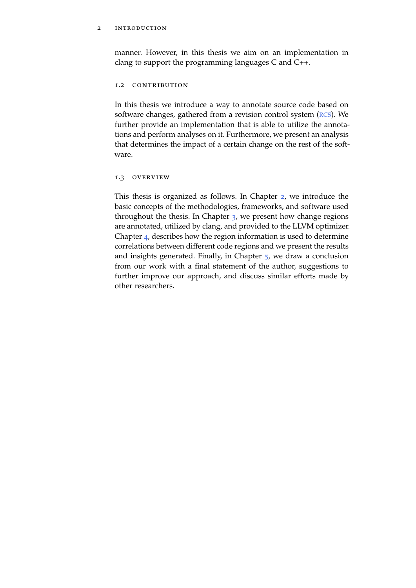## 2 introduction

manner. However, in this thesis we aim on an implementation in clang to support the programming languages C and C++.

### <span id="page-13-0"></span>1.2 contribution

In this thesis we introduce a way to annotate source code based on software changes, gathered from a revision control system ([RCS](#page-10-4)). We further provide an implementation that is able to utilize the annotations and perform analyses on it. Furthermore, we present an analysis that determines the impact of a certain change on the rest of the software.

## <span id="page-13-1"></span>1.3 OVERVIEW

This thesis is organized as follows. In Chapter [2](#page-14-0), we introduce the basic concepts of the methodologies, frameworks, and software used throughout the thesis. In Chapter  $3$ , we present how change regions are annotated, utilized by clang, and provided to the LLVM optimizer. Chapter [4](#page-42-0), describes how the region information is used to determine correlations between different code regions and we present the results and insights generated. Finally, in Chapter [5](#page-64-0), we draw a conclusion from our work with a final statement of the author, suggestions to further improve our approach, and discuss similar efforts made by other researchers.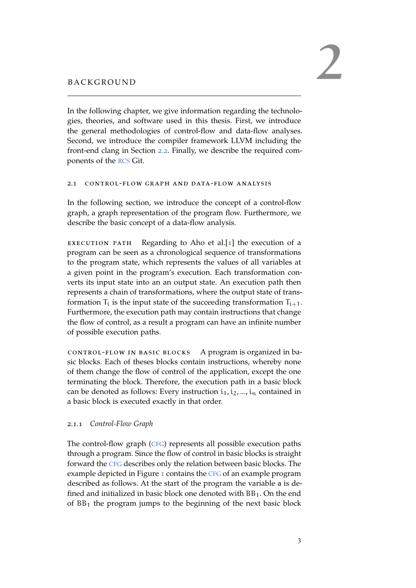<span id="page-14-0"></span>In the following chapter, we give information regarding the technologies, theories, and software used in this thesis. First, we introduce the general methodologies of control-flow and data-flow analyses. Second, we introduce the compiler framework LLVM including the front-end clang in Section [2](#page-16-0).2. Finally, we describe the required components of the [RCS](#page-10-4) Git.

## <span id="page-14-1"></span>2.1 control-flow graph and data-flow analysis

In the following section, we introduce the concept of a control-flow graph, a graph representation of the program flow. Furthermore, we describe the basic concept of a data-flow analysis.

EXECUTION PATH Regarding to Aho et al. $[1]$  $[1]$  $[1]$  the execution of a program can be seen as a chronological sequence of transformations to the program state, which represents the values of all variables at a given point in the program's execution. Each transformation converts its input state into an an output state. An execution path then represents a chain of transformations, where the output state of transformation  $T_i$  is the input state of the succeeding transformation  $T_{i+1}$ . Furthermore, the execution path may contain instructions that change the flow of control, as a result a program can have an infinite number of possible execution paths.

control-flow in basic blocks A program is organized in basic blocks. Each of theses blocks contain instructions, whereby none of them change the flow of control of the application, except the one terminating the block. Therefore, the execution path in a basic block can be denoted as follows: Every instruction  $i_1, i_2, ..., i_n$  contained in a basic block is executed exactly in that order.

# <span id="page-14-2"></span>2.1.1 *Control-Flow Graph*

The control-flow graph ([CFG](#page-10-5)) represents all possible execution paths through a program. Since the flow of control in basic blocks is straight forward the [CFG](#page-10-5) describes only the relation between basic blocks. The example depicted in Figure [1](#page-15-1) contains the [CFG](#page-10-5) of an example program described as follows. At the start of the program the variable a is defined and initialized in basic block one denoted with BB1. On the end of  $BB<sub>1</sub>$  the program jumps to the beginning of the next basic block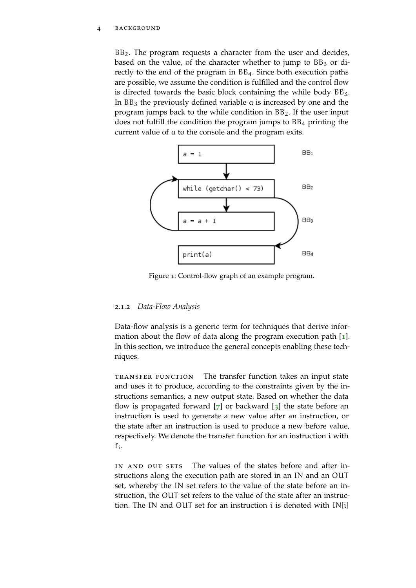#### 4 background

 $BB<sub>2</sub>$ . The program requests a character from the user and decides, based on the value, of the character whether to jump to  $BB<sub>3</sub>$  or directly to the end of the program in BB4. Since both execution paths are possible, we assume the condition is fulfilled and the control flow is directed towards the basic block containing the while body  $BB<sub>3</sub>$ . In BB<sup>3</sup> the previously defined variable a is increased by one and the program jumps back to the while condition in BB2. If the user input does not fulfill the condition the program jumps to  $BB<sub>4</sub>$  printing the current value of a to the console and the program exits.

<span id="page-15-1"></span>

Figure 1: Control-flow graph of an example program.

#### <span id="page-15-0"></span>2.1.2 *Data-Flow Analysis*

Data-flow analysis is a generic term for techniques that derive information about the flow of data along the program execution path [[1](#page-72-3)]. In this section, we introduce the general concepts enabling these techniques.

transfer function The transfer function takes an input state and uses it to produce, according to the constraints given by the instructions semantics, a new output state. Based on whether the data flow is propagated forward  $[7]$  $[7]$  $[7]$  or backward  $[3]$  $[3]$  $[3]$  the state before an instruction is used to generate a new value after an instruction, or the state after an instruction is used to produce a new before value, respectively. We denote the transfer function for an instruction i with fi.

IN AND OUT SETS The values of the states before and after instructions along the execution path are stored in an IN and an OUT set, whereby the IN set refers to the value of the state before an instruction, the OUT set refers to the value of the state after an instruction. The IN and OUT set for an instruction i is denoted with IN[i]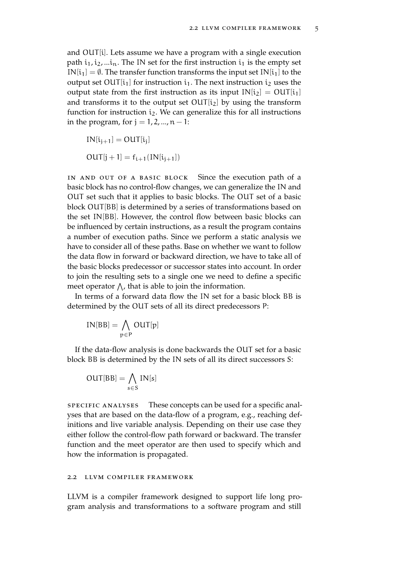and OUT[i]. Lets assume we have a program with a single execution path  $i_1, i_2, \ldots i_n$ . The IN set for the first instruction  $i_1$  is the empty set  $IN[i_1] = \emptyset$ . The transfer function transforms the input set  $IN[i_1]$  to the output set OUT $[i_1]$  for instruction  $i_1$ . The next instruction  $i_2$  uses the output state from the first instruction as its input  $IN[i_2] = OUT[i_1]$ and transforms it to the output set  $OUT[i_2]$  by using the transform function for instruction  $i_2$ . We can generalize this for all instructions in the program, for  $j = 1, 2, ..., n - 1$ :

 $IN[i_{j+1}] = OUT[i_j]$  $OUT[j + 1] = f_{i+1}(IN[i_{i+1}])$ 

in and out of a basic block Since the execution path of a basic block has no control-flow changes, we can generalize the IN and OUT set such that it applies to basic blocks. The OUT set of a basic block OUT[BB] is determined by a series of transformations based on the set IN[BB]. However, the control flow between basic blocks can be influenced by certain instructions, as a result the program contains a number of execution paths. Since we perform a static analysis we have to consider all of these paths. Base on whether we want to follow the data flow in forward or backward direction, we have to take all of the basic blocks predecessor or successor states into account. In order to join the resulting sets to a single one we need to define a specific meet operator  $\bigwedge$ , that is able to join the information.

In terms of a forward data flow the IN set for a basic block BB is determined by the OUT sets of all its direct predecessors P:

$$
IN[BB] = \bigwedge_{p \in P} OUT[p]
$$

If the data-flow analysis is done backwards the OUT set for a basic block BB is determined by the IN sets of all its direct successors S:

$$
OUT[BB] = \bigwedge_{s \in S} IN[s]
$$

specific analyses These concepts can be used for a specific analyses that are based on the data-flow of a program, e.g., reaching definitions and live variable analysis. Depending on their use case they either follow the control-flow path forward or backward. The transfer function and the meet operator are then used to specify which and how the information is propagated.

### <span id="page-16-0"></span>2.2 llvm compiler framework

LLVM is a compiler framework designed to support life long program analysis and transformations to a software program and still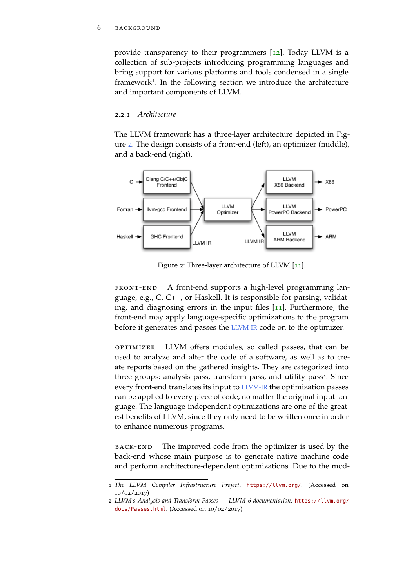#### 6 BACKGROUND

provide transparency to their programmers [[12](#page-73-1)]. Today LLVM is a collection of sub-projects introducing programming languages and bring support for various platforms and tools condensed in a single framework<sup>1</sup>. In the following section we introduce the architecture and important components of LLVM.

## <span id="page-17-0"></span>2.2.1 *Architecture*

The LLVM framework has a three-layer architecture depicted in Figure [2](#page-17-1). The design consists of a front-end (left), an optimizer (middle), and a back-end (right).

<span id="page-17-1"></span>

Figure 2: Three-layer architecture of LLVM [[11](#page-73-0)].

front-end A front-end supports a high-level programming language, e.g., C, C++, or Haskell. It is responsible for parsing, validating, and diagnosing errors in the input files [[11](#page-73-0)]. Furthermore, the front-end may apply language-specific optimizations to the program before it generates and passes the [LLVM-IR](#page-9-2) code on to the optimizer.

optimizer LLVM offers modules, so called passes, that can be used to analyze and alter the code of a software, as well as to create reports based on the gathered insights. They are categorized into three groups: analysis pass, transform pass, and utility pass<sup>2</sup>. Since every front-end translates its input to [LLVM-IR](#page-9-2) the optimization passes can be applied to every piece of code, no matter the original input language. The language-independent optimizations are one of the greatest benefits of LLVM, since they only need to be written once in order to enhance numerous programs.

back-end The improved code from the optimizer is used by the back-end whose main purpose is to generate native machine code and perform architecture-dependent optimizations. Due to the mod-

<sup>1</sup> *The LLVM Compiler Infrastructure Project*. <https://llvm.org/>. (Accessed on 10/02/2017)

<sup>2</sup> *LLVM's Analysis and Transform Passes — LLVM 6 documentation*. [https://llvm.org/](https://llvm.org/docs/Passes.html) [docs/Passes.html](https://llvm.org/docs/Passes.html). (Accessed on 10/02/2017)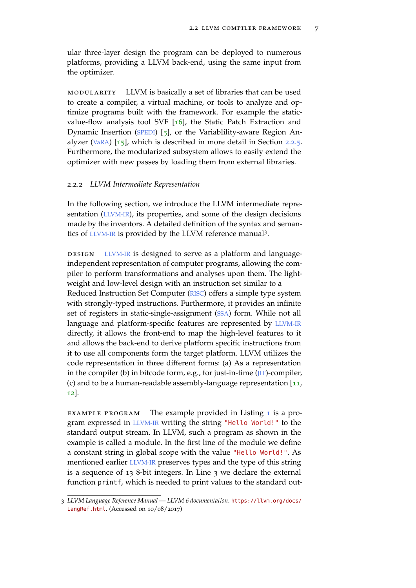ular three-layer design the program can be deployed to numerous platforms, providing a LLVM back-end, using the same input from the optimizer.

modularity LLVM is basically a set of libraries that can be used to create a compiler, a virtual machine, or tools to analyze and optimize programs built with the framework. For example the staticvalue-flow analysis tool SVF [[16](#page-73-2)], the Static Patch Extraction and Dynamic Insertion ([SPEDI](#page-10-6)) [[5](#page-72-6)], or the Variablility-aware Region Analyzer ([VaRA](#page-10-0)) [[15](#page-73-3)], which is described in more detail in Section [2](#page-25-0).2.5. Furthermore, the modularized subsystem allows to easily extend the optimizer with new passes by loading them from external libraries.

#### <span id="page-18-0"></span>2.2.2 *LLVM Intermediate Representation*

In the following section, we introduce the LLVM intermediate repre-sentation ([LLVM-IR](#page-9-2)), its properties, and some of the design decisions made by the inventors. A detailed definition of the syntax and seman-tics of [LLVM-IR](#page-9-2) is provided by the LLVM reference manual<sup>3</sup>.

DESIGN [LLVM-IR](#page-9-2) is designed to serve as a platform and languageindependent representation of computer programs, allowing the compiler to perform transformations and analyses upon them. The lightweight and low-level design with an instruction set similar to a Reduced Instruction Set Computer ([RISC](#page-10-7)) offers a simple type system with strongly-typed instructions. Furthermore, it provides an infinite set of registers in static-single-assignment ([SSA](#page-10-8)) form. While not all language and platform-specific features are represented by [LLVM-IR](#page-9-2) directly, it allows the front-end to map the high-level features to it and allows the back-end to derive platform specific instructions from it to use all components form the target platform. LLVM utilizes the code representation in three different forms: (a) As a representation in the compiler (b) in bitcode form, e.g., for just-in-time ([JIT](#page-10-9))-compiler, (c) and to be a human-readable assembly-language representation [[11](#page-73-0), [12](#page-73-1)].

EXAMPLE PROGRAM The example provided in Listing [1](#page-19-0) is a program expressed in [LLVM-IR](#page-9-2) writing the string "Hello World!" to the standard output stream. In LLVM, such a program as shown in the example is called a module. In the first line of the module we define a constant string in global scope with the value "Hello World!". As mentioned earlier [LLVM-IR](#page-9-2) preserves types and the type of this string is a sequence of 13 8-bit integers. In Line 3 we declare the external function printf, which is needed to print values to the standard out-

<sup>3</sup> *LLVM Language Reference Manual — LLVM 6 documentation*. [https://llvm.org/docs/](https://llvm.org/docs/LangRef.html) [LangRef.html](https://llvm.org/docs/LangRef.html). (Accessed on 10/08/2017)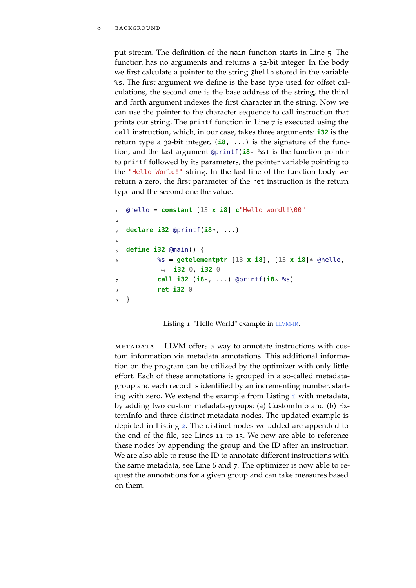put stream. The definition of the main function starts in Line 5. The function has no arguments and returns a 32-bit integer. In the body we first calculate a pointer to the string @hello stored in the variable %s. The first argument we define is the base type used for offset calculations, the second one is the base address of the string, the third and forth argument indexes the first character in the string. Now we can use the pointer to the character sequence to call instruction that prints our string. The printf function in Line 7 is executed using the call instruction, which, in our case, takes three arguments: **i32** is the return type a 32-bit integer, (**i8**, ...) is the signature of the function, and the last argument @printf(**i8**\* %s) is the function pointer to printf followed by its parameters, the pointer variable pointing to the "Hello World!" string. In the last line of the function body we return a zero, the first parameter of the ret instruction is the return type and the second one the value.

```
[0.10 \text{ m} \cdot \text{constant} \cdot 13 \times 18] c"Hello wordl!\00"
2
  3 declare i32 @printf(i8*, ...)
4
5 define i32 @main() {
6 %s = getelementptr [13 x i8], [13 x i8]* @hello,
            ,→ i32 0, i32 0
7 call i32 (i8*, ...) @printf(i8* %s)
           8 ret i32 0
9 }
```
Listing 1: "Hello World" example in [LLVM-IR](#page-9-2).

metadata LLVM offers a way to annotate instructions with custom information via metadata annotations. This additional information on the program can be utilized by the optimizer with only little effort. Each of these annotations is grouped in a so-called metadatagroup and each record is identified by an incrementing number, starting with zero. We extend the example from Listing [1](#page-19-0) with metadata, by adding two custom metadata-groups: (a) CustomInfo and (b) ExternInfo and three distinct metadata nodes. The updated example is depicted in Listing [2](#page-20-1). The distinct nodes we added are appended to the end of the file, see Lines 11 to 13. We now are able to reference these nodes by appending the group and the ID after an instruction. We are also able to reuse the ID to annotate different instructions with the same metadata, see Line 6 and 7. The optimizer is now able to request the annotations for a given group and can take measures based on them.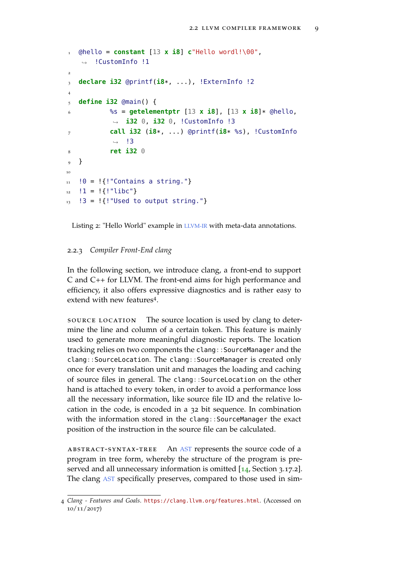```
\blacksquare @hello = constant [13 x i8] c"Hello wordl!\00",
    ,→ !CustomInfo !1
2
3 declare i32 @printf(i8*, ...), !ExternInfo !2
4
5 define i32 @main() {
6 %s = getelementptr [13 x i8], [13 x i8]* @hello,
            ,→ i32 0, i32 0, !CustomInfo !3
7 call i32 (i8*, ...) @printf(i8* %s), !CustomInfo
            \rightarrow !3
8 ret i32 0
9 }
\overline{10}11 \t 10 = !{!}\t "Contains a string."}
12 : 1 = !{!"libc"}!3 = !{!} "Used to output string."
```
Listing 2: "Hello World" example in [LLVM-IR](#page-9-2) with meta-data annotations.

## <span id="page-20-0"></span>2.2.3 *Compiler Front-End clang*

In the following section, we introduce clang, a front-end to support C and C++ for LLVM. The front-end aims for high performance and efficiency, it also offers expressive diagnostics and is rather easy to extend with new features<sup>4</sup>.

source location The source location is used by clang to determine the line and column of a certain token. This feature is mainly used to generate more meaningful diagnostic reports. The location tracking relies on two components the clang:: SourceManager and the clang::SourceLocation. The clang::SourceManager is created only once for every translation unit and manages the loading and caching of source files in general. The clang::SourceLocation on the other hand is attached to every token, in order to avoid a performance loss all the necessary information, like source file ID and the relative location in the code, is encoded in a 32 bit sequence. In combination with the information stored in the clang::SourceManager the exact position of the instruction in the source file can be calculated.

abstract-syntax-tree An [AST](#page-10-2) represents the source code of a program in tree form, whereby the structure of the program is preserved and all unnecessary information is omitted [[14](#page-73-4), Section 3.17.2]. The clang [AST](#page-10-2) specifically preserves, compared to those used in sim-

<sup>4</sup> *Clang - Features and Goals*. <https://clang.llvm.org/features.html>. (Accessed on 10/11/2017)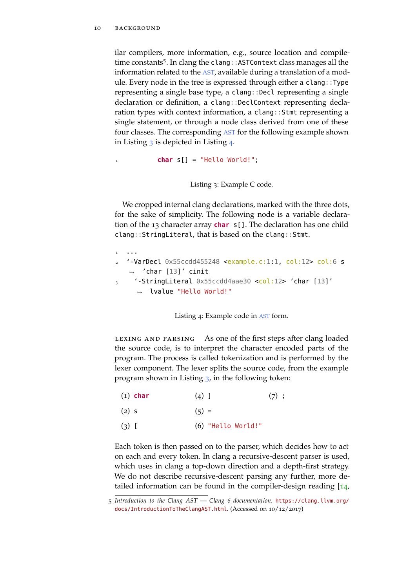ilar compilers, more information, e.g., source location and compiletime constants<sup>5</sup>. In clang the clang:: ASTContext class manages all the information related to the [AST](#page-10-2), available during a translation of a module. Every node in the tree is expressed through either a clang::Type representing a single base type, a clang::Decl representing a single declaration or definition, a clang::DeclContext representing declaration types with context information, a clang::Stmt representing a single statement, or through a node class derived from one of these four classes. The corresponding [AST](#page-10-2) for the following example shown in Listing  $3$  is depicted in Listing  $4$ .

<span id="page-21-0"></span>char s[] = "Hello World!";

Listing 3: Example C code.

We cropped internal clang declarations, marked with the three dots, for the sake of simplicity. The following node is a variable declaration of the 13 character array **char** s[]. The declaration has one child clang::StringLiteral, that is based on the clang::Stmt.

```
1 ...
   2 '-VarDecl 0x55ccdd455248 <example.c:1:1, col:12> col:6 s
   \rightarrow 'char [13]' cinit
3 '-StringLiteral 0x55ccdd4aae30 <col:12> 'char [13]'
     ,→ lvalue "Hello World!"
```
Listing 4: Example code in [AST](#page-10-2) form.

LEXING AND PARSING As one of the first steps after clang loaded the source code, is to interpret the character encoded parts of the program. The process is called tokenization and is performed by the lexer component. The lexer splits the source code, from the example program shown in Listing [3](#page-21-0), in the following token:

(1) **char**  $\Delta$  1  $(7)$  ;

 $(2)$  s  $(5) =$ 

 $(3)$  [ (6) "Hello World!"

Each token is then passed on to the parser, which decides how to act on each and every token. In clang a recursive-descent parser is used, which uses in clang a top-down direction and a depth-first strategy. We do not describe recursive-descent parsing any further, more detailed information can be found in the compiler-design reading  $[14, 1]$  $[14, 1]$  $[14, 1]$ 

<sup>5</sup> *Introduction to the Clang AST — Clang 6 documentation*. [https://clang.llvm.org/](https://clang.llvm.org/docs/IntroductionToTheClangAST.html) [docs/IntroductionToTheClangAST.html](https://clang.llvm.org/docs/IntroductionToTheClangAST.html). (Accessed on 10/12/2017)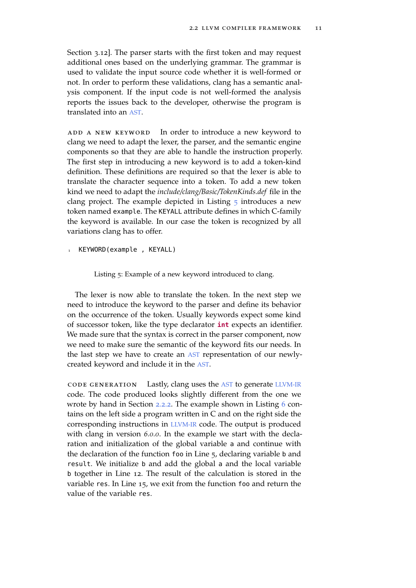Section 3.12]. The parser starts with the first token and may request additional ones based on the underlying grammar. The grammar is used to validate the input source code whether it is well-formed or not. In order to perform these validations, clang has a semantic analysis component. If the input code is not well-formed the analysis reports the issues back to the developer, otherwise the program is translated into an [AST](#page-10-2).

ADD A NEW KEYWORD In order to introduce a new keyword to clang we need to adapt the lexer, the parser, and the semantic engine components so that they are able to handle the instruction properly. The first step in introducing a new keyword is to add a token-kind definition. These definitions are required so that the lexer is able to translate the character sequence into a token. To add a new token kind we need to adapt the *include/clang/Basic/TokenKinds.def* file in the clang project. The example depicted in Listing  $5$  introduces a new token named example. The KEYALL attribute defines in which C-family the keyword is available. In our case the token is recognized by all variations clang has to offer.

<span id="page-22-0"></span>KEYWORD(example, KEYALL)

Listing 5: Example of a new keyword introduced to clang.

The lexer is now able to translate the token. In the next step we need to introduce the keyword to the parser and define its behavior on the occurrence of the token. Usually keywords expect some kind of successor token, like the type declarator **int** expects an identifier. We made sure that the syntax is correct in the parser component, now we need to make sure the semantic of the keyword fits our needs. In the last step we have to create an [AST](#page-10-2) representation of our newlycreated keyword and include it in the [AST](#page-10-2).

code generation Lastly, clang uses the [AST](#page-10-2) to generate [LLVM-IR](#page-9-2) code. The code produced looks slightly different from the one we wrote by hand in Section [2](#page-18-0).2.2. The example shown in Listing [6](#page-23-1) contains on the left side a program written in C and on the right side the corresponding instructions in [LLVM-IR](#page-9-2) code. The output is produced with clang in version *6.0.0*. In the example we start with the declaration and initialization of the global variable a and continue with the declaration of the function foo in Line 5, declaring variable <sup>b</sup> and result. We initialize b and add the global a and the local variable <sup>b</sup> together in Line 12. The result of the calculation is stored in the variable res. In Line 15, we exit from the function foo and return the value of the variable res.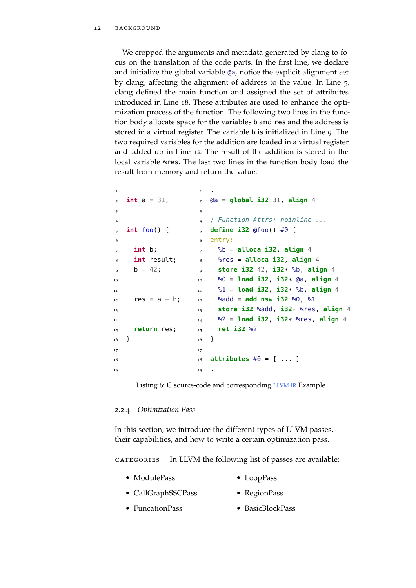We cropped the arguments and metadata generated by clang to focus on the translation of the code parts. In the first line, we declare and initialize the global variable @a, notice the explicit alignment set by clang, affecting the alignment of address to the value. In Line 5, clang defined the main function and assigned the set of attributes introduced in Line 18. These attributes are used to enhance the optimization process of the function. The following two lines in the function body allocate space for the variables b and res and the address is stored in a virtual register. The variable <sup>b</sup> is initialized in Line 9. The two required variables for the addition are loaded in a virtual register and added up in Line 12. The result of the addition is stored in the local variable %res. The last two lines in the function body load the result from memory and return the value.

```
1
_2 int a = 31;
3
4
   5 int foo() {
\epsilon<sub>7</sub> int b:</sub>
8 int result;
9 b = 42;
<sub>10</sub>
11
r = 12 res = a + b;
13
14
15 return res;
16 }
17
18
<sub>1</sub>
                        \mathbf{r}2 @a = global i32 31, align 4
                        3
                        4 ; Function Attrs: noinline ...
                        5 define i32 @foo() #0 {
                        6 entry:
                        7 %b = alloca i32, align 4
                        8 %res = alloca i32, align 4
                        9 store i32 42, i32* %b, align 4
                             10 %0 = load i32, i32* @a, align 4
                        11 %1 = load i32, i32* %b, align 4
                       12 %add = add nsw i32 %0, %1
                        13 store i32 %add, i32* %res, align 4
                        14 %2 = load i32, i32* %res, align 4
                        15 ret i32 %2
                        16 }
                        17
                        18 attributes #0 = \{ ... \}19 ...
```
Listing 6: C source-code and corresponding [LLVM-IR](#page-9-2) Example.

## <span id="page-23-0"></span>2.2.4 *Optimization Pass*

In this section, we introduce the different types of LLVM passes, their capabilities, and how to write a certain optimization pass.

categories In LLVM the following list of passes are available:

|  | • ModulePass | $\bullet$ LoopPass |
|--|--------------|--------------------|
|--|--------------|--------------------|

- CallGraphSSCPass • RegionPass
- FuncationPass • BasicBlockPass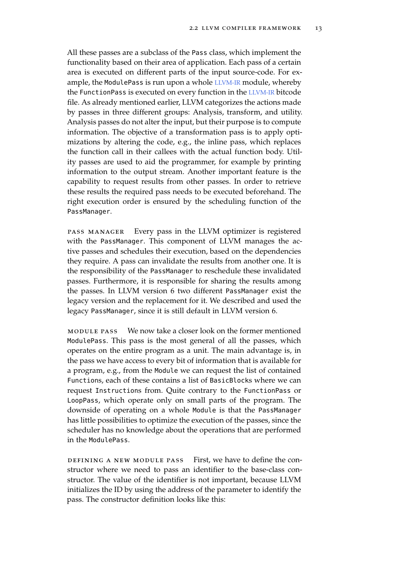All these passes are a subclass of the Pass class, which implement the functionality based on their area of application. Each pass of a certain area is executed on different parts of the input source-code. For example, the ModulePass is run upon a whole [LLVM-IR](#page-9-2) module, whereby the FunctionPass is executed on every function in the [LLVM-IR](#page-9-2) bitcode file. As already mentioned earlier, LLVM categorizes the actions made by passes in three different groups: Analysis, transform, and utility. Analysis passes do not alter the input, but their purpose is to compute information. The objective of a transformation pass is to apply optimizations by altering the code, e.g., the inline pass, which replaces the function call in their callees with the actual function body. Utility passes are used to aid the programmer, for example by printing information to the output stream. Another important feature is the capability to request results from other passes. In order to retrieve these results the required pass needs to be executed beforehand. The right execution order is ensured by the scheduling function of the PassManager.

pass manager Every pass in the LLVM optimizer is registered with the PassManager. This component of LLVM manages the active passes and schedules their execution, based on the dependencies they require. A pass can invalidate the results from another one. It is the responsibility of the PassManager to reschedule these invalidated passes. Furthermore, it is responsible for sharing the results among the passes. In LLVM version 6 two different PassManager exist the legacy version and the replacement for it. We described and used the legacy PassManager, since it is still default in LLVM version 6.

module pass We now take a closer look on the former mentioned ModulePass. This pass is the most general of all the passes, which operates on the entire program as a unit. The main advantage is, in the pass we have access to every bit of information that is available for a program, e.g., from the Module we can request the list of contained Functions, each of these contains a list of BasicBlocks where we can request Instructions from. Quite contrary to the FunctionPass or LoopPass, which operate only on small parts of the program. The downside of operating on a whole Module is that the PassManager has little possibilities to optimize the execution of the passes, since the scheduler has no knowledge about the operations that are performed in the ModulePass.

defining a new module pass First, we have to define the constructor where we need to pass an identifier to the base-class constructor. The value of the identifier is not important, because LLVM initializes the ID by using the address of the parameter to identify the pass. The constructor definition looks like this: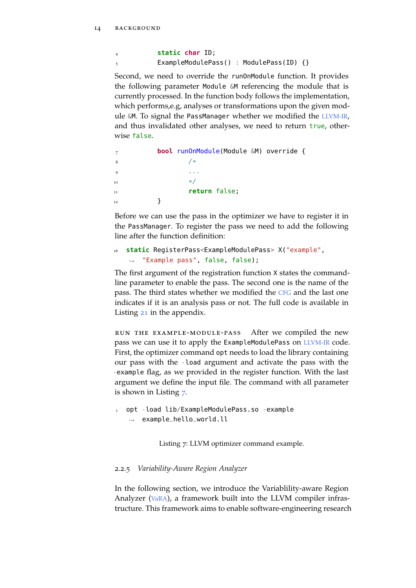<sup>4</sup> **static char** ID; <sup>5</sup> ExampleModulePass() : ModulePass(ID) {}

Second, we need to override the runOnModule function. It provides the following parameter Module &M referencing the module that is currently processed. In the function body follows the implementation, which performs,e.g, analyses or transformations upon the given module &M. To signal the PassManager whether we modified the [LLVM-IR](#page-9-2), and thus invalidated other analyses, we need to return true, otherwise false.

```
7 bool runOnModule(Module &M) override {
8 /*9 \qquad \qquad \bullet \qquad \bullet \qquad \bullet10 */
                  return false:
12 }
```
Before we can use the pass in the optimizer we have to register it in the PassManager. To register the pass we need to add the following line after the function definition:

```
16 static RegisterPass<ExampleModulePass> X("example",
\rightarrow "Example pass", false, false);
```
The first argument of the registration function X states the commandline parameter to enable the pass. The second one is the name of the pass. The third states whether we modified the [CFG](#page-10-5) and the last one indicates if it is an analysis pass or not. The full code is available in Listing [21](#page-68-3) in the appendix.

run the example-module-pass After we compiled the new pass we can use it to apply the ExampleModulePass on [LLVM-IR](#page-9-2) code. First, the optimizer command opt needs to load the library containing our pass with the -load argument and activate the pass with the -example flag, as we provided in the register function. With the last argument we define the input file. The command with all parameter is shown in Listing [7](#page-25-1).

<span id="page-25-1"></span><sup>1</sup> opt -load lib/ExampleModulePass.so -example  $\rightarrow$  example\_hello\_world.ll

Listing 7: LLVM optimizer command example.

## <span id="page-25-0"></span>2.2.5 *Variability-Aware Region Analyzer*

In the following section, we introduce the Variablility-aware Region Analyzer ([VaRA](#page-10-0)), a framework built into the LLVM compiler infrastructure. This framework aims to enable software-engineering research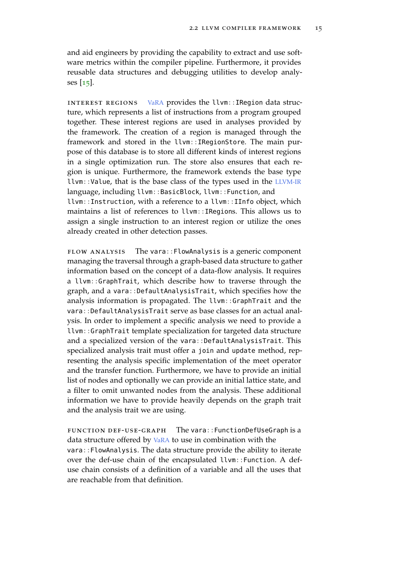and aid engineers by providing the capability to extract and use software metrics within the compiler pipeline. Furthermore, it provides reusable data structures and debugging utilities to develop analyses [[15](#page-73-3)].

interest regions [VaRA](#page-10-0) provides the llvm::IRegion data structure, which represents a list of instructions from a program grouped together. These interest regions are used in analyses provided by the framework. The creation of a region is managed through the framework and stored in the llvm::IRegionStore. The main purpose of this database is to store all different kinds of interest regions in a single optimization run. The store also ensures that each region is unique. Furthermore, the framework extends the base type llvm::Value, that is the base class of the types used in the [LLVM-IR](#page-9-2) language, including llvm::BasicBlock, llvm::Function, and

llvm::Instruction, with a reference to a llvm::IInfo object, which maintains a list of references to llvm::IRegions. This allows us to assign a single instruction to an interest region or utilize the ones already created in other detection passes.

flow analysis The vara::FlowAnalysis is a generic component managing the traversal through a graph-based data structure to gather information based on the concept of a data-flow analysis. It requires a llvm::GraphTrait, which describe how to traverse through the graph, and a vara::DefaultAnalysisTrait, which specifies how the analysis information is propagated. The llvm::GraphTrait and the vara::DefaultAnalysisTrait serve as base classes for an actual analysis. In order to implement a specific analysis we need to provide a llvm::GraphTrait template specialization for targeted data structure and a specialized version of the vara::DefaultAnalysisTrait. This specialized analysis trait must offer a join and update method, representing the analysis specific implementation of the meet operator and the transfer function. Furthermore, we have to provide an initial list of nodes and optionally we can provide an initial lattice state, and a filter to omit unwanted nodes from the analysis. These additional information we have to provide heavily depends on the graph trait and the analysis trait we are using.

function def-use-graph The vara::FunctionDefUseGraph is a data structure offered by [VaRA](#page-10-0) to use in combination with the vara::FlowAnalysis. The data structure provide the ability to iterate over the def-use chain of the encapsulated llvm::Function. A defuse chain consists of a definition of a variable and all the uses that are reachable from that definition.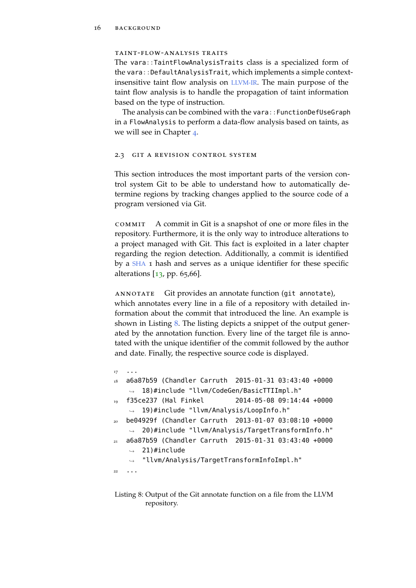### taint-flow-analysis traits

The vara::TaintFlowAnalysisTraits class is a specialized form of the vara::DefaultAnalysisTrait, which implements a simple contextinsensitive taint flow analysis on [LLVM-IR](#page-9-2). The main purpose of the taint flow analysis is to handle the propagation of taint information based on the type of instruction.

The analysis can be combined with the vara::FunctionDefUseGraph in a FlowAnalysis to perform a data-flow analysis based on taints, as we will see in Chapter [4](#page-42-0).

#### <span id="page-27-0"></span>2.3 git a revision control system

This section introduces the most important parts of the version control system Git to be able to understand how to automatically determine regions by tracking changes applied to the source code of a program versioned via Git.

commit A commit in Git is a snapshot of one or more files in the repository. Furthermore, it is the only way to introduce alterations to a project managed with Git. This fact is exploited in a later chapter regarding the region detection. Additionally, a commit is identified by a [SHA](#page-0-0) 1 hash and serves as a unique identifier for these specific alterations  $\left[13, pp. 65, 66\right]$  $\left[13, pp. 65, 66\right]$  $\left[13, pp. 65, 66\right]$ .

annotate Git provides an annotate function (git annotate), which annotates every line in a file of a repository with detailed information about the commit that introduced the line. An example is shown in Listing [8](#page-27-1). The listing depicts a snippet of the output generated by the annotation function. Every line of the target file is annotated with the unique identifier of the commit followed by the author and date. Finally, the respective source code is displayed.

```
17 ...
18 a6a87b59 (Chandler Carruth 2015-01-31 03:43:40 +0000
    ,→ 18)#include "llvm/CodeGen/BasicTTIImpl.h"
  19 f35ce237 (Hal Finkel 2014-05-08 09:14:44 +0000
    ,→ 19)#include "llvm/Analysis/LoopInfo.h"
   20 be04929f (Chandler Carruth 2013-01-07 03:08:10 +0000
    \rightarrow 20)#include "llvm/Analysis/TargetTransformInfo.h"
   21 a6a87b59 (Chandler Carruth 2015-01-31 03:43:40 +0000
       21)#include
       "llvm/Analysis/TargetTransformInfoImpl.h"
    \rightarrow\hookrightarrow22 . . .
```
Listing 8: Output of the Git annotate function on a file from the LLVM repository.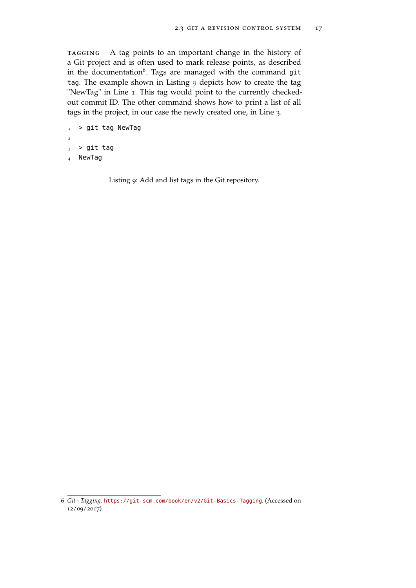tagging A tag points to an important change in the history of a Git project and is often used to mark release points, as described in the documentation<sup>6</sup>. Tags are managed with the command git tag. The example shown in Listing [9](#page-28-0) depicts how to create the tag "NewTag" in Line 1. This tag would point to the currently checkedout commit ID. The other command shows how to print a list of all tags in the project, in our case the newly created one, in Line 3.

```
1 > git tag NewTag
2
3 > git tag
```
<sup>4</sup> NewTag

Listing 9: Add and list tags in the Git repository.

<sup>6</sup> *Git - Tagging*. <https://git-scm.com/book/en/v2/Git-Basics-Tagging>. (Accessed on  $12/09/2017$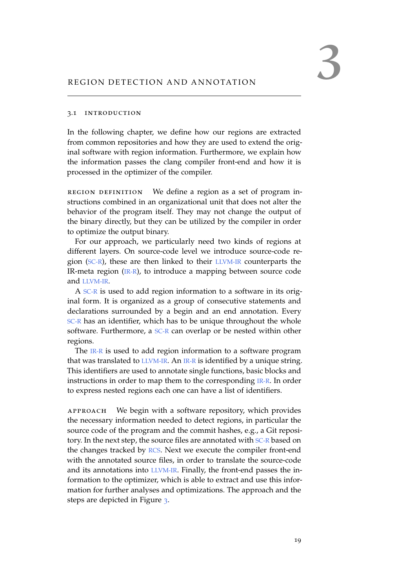## <span id="page-30-1"></span><span id="page-30-0"></span>3.1 introduction

In the following chapter, we define how our regions are extracted from common repositories and how they are used to extend the original software with region information. Furthermore, we explain how the information passes the clang compiler front-end and how it is processed in the optimizer of the compiler.

region definition We define a region as a set of program instructions combined in an organizational unit that does not alter the behavior of the program itself. They may not change the output of the binary directly, but they can be utilized by the compiler in order to optimize the output binary.

For our approach, we particularly need two kinds of regions at different layers. On source-code level we introduce source-code region ([SC-R](#page-9-1)), these are then linked to their [LLVM-IR](#page-9-2) counterparts the IR-meta region ([IR-R](#page-9-0)), to introduce a mapping between source code and [LLVM-IR](#page-9-2).

A [SC-R](#page-9-1) is used to add region information to a software in its original form. It is organized as a group of consecutive statements and declarations surrounded by a begin and an end annotation. Every [SC-R](#page-9-1) has an identifier, which has to be unique throughout the whole software. Furthermore, a [SC-R](#page-9-1) can overlap or be nested within other regions.

The [IR-R](#page-9-0) is used to add region information to a software program that was translated to [LLVM-IR](#page-9-2). An [IR-R](#page-9-0) is identified by a unique string. This identifiers are used to annotate single functions, basic blocks and instructions in order to map them to the corresponding [IR-R](#page-9-0). In order to express nested regions each one can have a list of identifiers.

approach We begin with a software repository, which provides the necessary information needed to detect regions, in particular the source code of the program and the commit hashes, e.g., a Git repository. In the next step, the source files are annotated with [SC-R](#page-9-1) based on the changes tracked by [RCS](#page-10-4). Next we execute the compiler front-end with the annotated source files, in order to translate the source-code and its annotations into [LLVM-IR](#page-9-2). Finally, the front-end passes the information to the optimizer, which is able to extract and use this information for further analyses and optimizations. The approach and the steps are depicted in Figure [3](#page-31-3).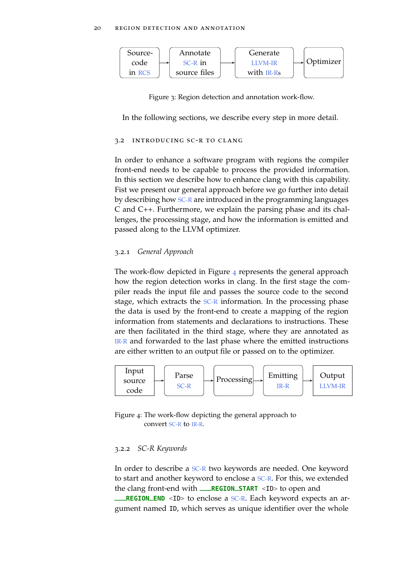<span id="page-31-3"></span>

Figure 3: Region detection and annotation work-flow.

<span id="page-31-0"></span>In the following sections, we describe every step in more detail.

#### 3.2 introducing sc-r to clang

In order to enhance a software program with regions the compiler front-end needs to be capable to process the provided information. In this section we describe how to enhance clang with this capability. Fist we present our general approach before we go further into detail by describing how [SC-R](#page-9-1) are introduced in the programming languages C and C++. Furthermore, we explain the parsing phase and its challenges, the processing stage, and how the information is emitted and passed along to the LLVM optimizer.

## <span id="page-31-1"></span>3.2.1 *General Approach*

The work-flow depicted in Figure [4](#page-31-4) represents the general approach how the region detection works in clang. In the first stage the compiler reads the input file and passes the source code to the second stage, which extracts the [SC-R](#page-9-1) information. In the processing phase the data is used by the front-end to create a mapping of the region information from statements and declarations to instructions. These are then facilitated in the third stage, where they are annotated as [IR-R](#page-9-0) and forwarded to the last phase where the emitted instructions are either written to an output file or passed on to the optimizer.

<span id="page-31-4"></span>

Figure 4: The work-flow depicting the general approach to convert [SC-R](#page-9-1) to [IR-R](#page-9-0).

## <span id="page-31-2"></span>3.2.2 *SC-R Keywords*

In order to describe a [SC-R](#page-9-1) two keywords are needed. One keyword to start and another keyword to enclose a [SC-R](#page-9-1). For this, we extended the clang front-end with **\_\_\_REGION\_START** <ID> to open and **\_REGION\_END** <ID> to enclose a [SC-R](#page-9-1). Each keyword expects an argument named ID, which serves as unique identifier over the whole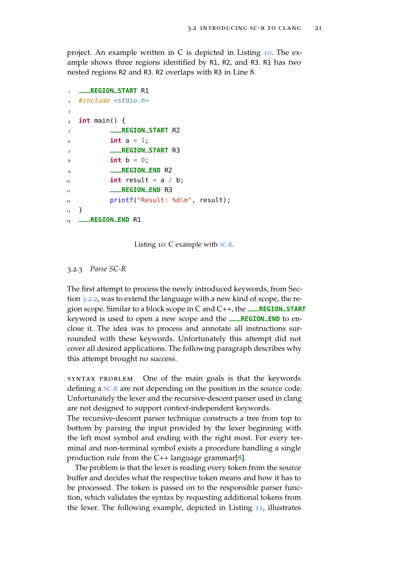project. An example written in C is depicted in Listing [10](#page-32-1). The example shows three regions identified by R1, R2, and R3. R1 has two nested regions R2 and R3. R2 overlaps with R3 in Line 8.

```
1 ___REGION_START R1
  #include <stdio.h>
3
4 int main() {
5 ___REGION_START R2
6 int a = 1;
7 ___REGION_START R3
\sinh b = 0;9 ___REGION_END R2
\frac{1}{10} int result = a / b;
11 ___REGION_END R3
12 printf("Result: %d\n", result);
13 }
14 ___REGION_END R1
```
Listing 10: C example with [SC-R](#page-9-1).

<span id="page-32-0"></span>3.2.3 *Parse SC-R*

The first attempt to process the newly introduced keywords, from Section [3](#page-31-2).2.2, was to extend the language with a new kind of scope, the region scope. Similar to a block scope in C and C++, the **\_\_\_REGION\_START** keyword is used to open a new scope and the **\_\_\_REGION\_END** to enclose it. The idea was to process and annotate all instructions surrounded with these keywords. Unfortunately this attempt did not cover all desired applications. The following paragraph describes why this attempt brought no success.

syntax problem One of the main goals is that the keywords defining a [SC-R](#page-9-1) are not depending on the position in the source code. Unfortunately the lexer and the recursive-descent parser used in clang are not designed to support context-independent keywords.

The recursive-descent parser technique constructs a tree from top to bottom by parsing the input provided by the lexer beginning with the left most symbol and ending with the right most. For every terminal and non-terminal symbol exists a procedure handling a single production rule from the  $C_{++}$  language grammar[[8](#page-72-7)].

The problem is that the lexer is reading every token from the source buffer and decides what the respective token means and how it has to be processed. The token is passed on to the responsible parser function, which validates the syntax by requesting additional tokens from the lexer. The following example, depicted in Listing [11](#page-33-0), illustrates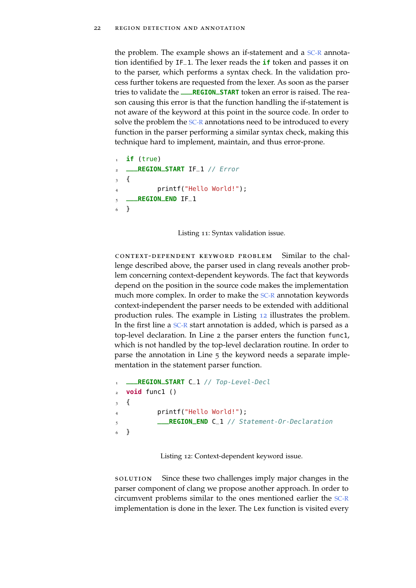the problem. The example shows an if-statement and a [SC-R](#page-9-1) annotation identified by IF\_1. The lexer reads the **if** token and passes it on to the parser, which performs a syntax check. In the validation process further tokens are requested from the lexer. As soon as the parser tries to validate the **\_\_\_REGION\_START** token an error is raised. The reason causing this error is that the function handling the if-statement is not aware of the keyword at this point in the source code. In order to solve the problem the [SC-R](#page-9-1) annotations need to be introduced to every function in the parser performing a similar syntax check, making this technique hard to implement, maintain, and thus error-prone.

```
if (true)
2 ___REGION_START IF_1 // Error
   \left\{ \right.printf("Hello World!");
5 ___REGION_END IF_1
   6 }
```
Listing 11: Syntax validation issue.

context-dependent keyword problem Similar to the challenge described above, the parser used in clang reveals another problem concerning context-dependent keywords. The fact that keywords depend on the position in the source code makes the implementation much more complex. In order to make the [SC-R](#page-9-1) annotation keywords context-independent the parser needs to be extended with additional production rules. The example in Listing [12](#page-33-1) illustrates the problem. In the first line a [SC-R](#page-9-1) start annotation is added, which is parsed as a top-level declaration. In Line 2 the parser enters the function func1, which is not handled by the top-level declaration routine. In order to parse the annotation in Line 5 the keyword needs a separate implementation in the statement parser function.

```
1 ___REGION_START C_1 // Top-Level-Decl
2 void func1 ()
3 {
           printf("Hello World!");
           5 ___REGION_END C_1 // Statement-Or-Declaration
6 }
```
Listing 12: Context-dependent keyword issue.

solution Since these two challenges imply major changes in the parser component of clang we propose another approach. In order to circumvent problems similar to the ones mentioned earlier the [SC-R](#page-9-1) implementation is done in the lexer. The Lex function is visited every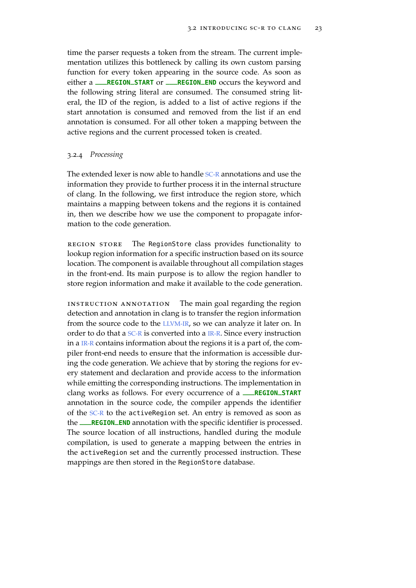time the parser requests a token from the stream. The current implementation utilizes this bottleneck by calling its own custom parsing function for every token appearing in the source code. As soon as either a **\_\_\_REGION\_START** or **\_\_\_REGION\_END** occurs the keyword and the following string literal are consumed. The consumed string literal, the ID of the region, is added to a list of active regions if the start annotation is consumed and removed from the list if an end annotation is consumed. For all other token a mapping between the active regions and the current processed token is created.

### <span id="page-34-0"></span>3.2.4 *Processing*

The extended lexer is now able to handle [SC-R](#page-9-1) annotations and use the information they provide to further process it in the internal structure of clang. In the following, we first introduce the region store, which maintains a mapping between tokens and the regions it is contained in, then we describe how we use the component to propagate information to the code generation.

region store The RegionStore class provides functionality to lookup region information for a specific instruction based on its source location. The component is available throughout all compilation stages in the front-end. Its main purpose is to allow the region handler to store region information and make it available to the code generation.

<span id="page-34-1"></span>instruction annotation The main goal regarding the region detection and annotation in clang is to transfer the region information from the source code to the [LLVM-IR](#page-9-2), so we can analyze it later on. In order to do that a [SC-R](#page-9-1) is converted into a [IR-R](#page-9-0). Since every instruction in a [IR-R](#page-9-0) contains information about the regions it is a part of, the compiler front-end needs to ensure that the information is accessible during the code generation. We achieve that by storing the regions for every statement and declaration and provide access to the information while emitting the corresponding instructions. The implementation in clang works as follows. For every occurrence of a **\_\_\_REGION\_START** annotation in the source code, the compiler appends the identifier of the [SC-R](#page-9-1) to the activeRegion set. An entry is removed as soon as the **\_\_\_REGION\_END** annotation with the specific identifier is processed. The source location of all instructions, handled during the module compilation, is used to generate a mapping between the entries in the activeRegion set and the currently processed instruction. These mappings are then stored in the RegionStore database.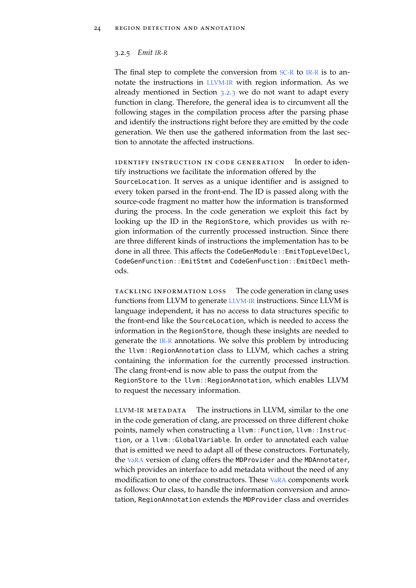#### 3.2.5 *Emit [IR-R](#page-9-0)*

The final step to complete the conversion from [SC-R](#page-9-1) to [IR-R](#page-9-0) is to annotate the instructions in [LLVM-IR](#page-9-2) with region information. As we already mentioned in Section [3](#page-32-0).2.3 we do not want to adapt every function in clang. Therefore, the general idea is to circumvent all the following stages in the compilation process after the parsing phase and identify the instructions right before they are emitted by the code generation. We then use the gathered information from the last section to annotate the affected instructions.

identify instruction in code generation In order to identify instructions we facilitate the information offered by the SourceLocation. It serves as a unique identifier and is assigned to every token parsed in the front-end. The ID is passed along with the source-code fragment no matter how the information is transformed during the process. In the code generation we exploit this fact by looking up the ID in the RegionStore, which provides us with region information of the currently processed instruction. Since there are three different kinds of instructions the implementation has to be done in all three. This affects the CodeGenModule::EmitTopLevelDecl, CodeGenFunction::EmitStmt and CodeGenFunction::EmitDecl methods.

tackling information loss The code generation in clang uses functions from LLVM to generate [LLVM-IR](#page-9-2) instructions. Since LLVM is language independent, it has no access to data structures specific to the front-end like the SourceLocation, which is needed to access the information in the RegionStore, though these insights are needed to generate the [IR-R](#page-9-0) annotations. We solve this problem by introducing the llvm::RegionAnnotation class to LLVM, which caches a string containing the information for the currently processed instruction. The clang front-end is now able to pass the output from the RegionStore to the llvm::RegionAnnotation, which enables LLVM to request the necessary information.

[LLVM-IR](#page-9-2) METADATA The instructions in LLVM, similar to the one in the code generation of clang, are processed on three different choke points, namely when constructing a llvm::Function, llvm::Instruction, or a llvm::GlobalVariable. In order to annotated each value that is emitted we need to adapt all of these constructors. Fortunately, the [VaRA](#page-10-0) version of clang offers the MDProvider and the MDAnnotater, which provides an interface to add metadata without the need of any modification to one of the constructors. These [VaRA](#page-10-0) components work as follows: Our class, to handle the information conversion and annotation, RegionAnnotation extends the MDProvider class and overrides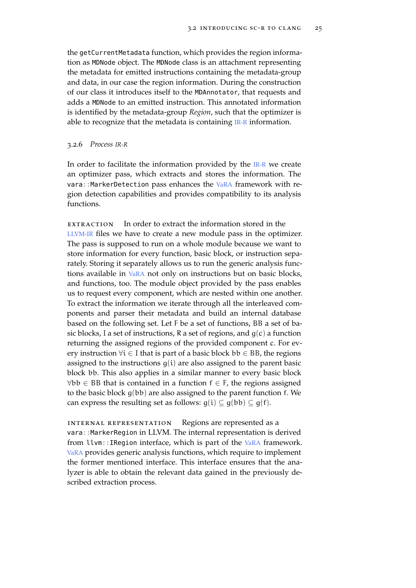the getCurrentMetadata function, which provides the region information as MDNode object. The MDNode class is an attachment representing the metadata for emitted instructions containing the metadata-group and data, in our case the region information. During the construction of our class it introduces itself to the MDAnnotator, that requests and adds a MDNode to an emitted instruction. This annotated information is identified by the metadata-group *Region*, such that the optimizer is able to recognize that the metadata is containing [IR-R](#page-9-0) information.

#### <span id="page-36-0"></span>3.2.6 *Process [IR-R](#page-9-0)*

In order to facilitate the information provided by the [IR-R](#page-9-0) we create an optimizer pass, which extracts and stores the information. The vara::MarkerDetection pass enhances the [VaRA](#page-10-0) framework with region detection capabilities and provides compatibility to its analysis functions.

 $EXTRACTION$  In order to extract the information stored in the [LLVM-IR](#page-9-1) files we have to create a new module pass in the optimizer. The pass is supposed to run on a whole module because we want to store information for every function, basic block, or instruction separately. Storing it separately allows us to run the generic analysis functions available in [VaRA](#page-10-0) not only on instructions but on basic blocks, and functions, too. The module object provided by the pass enables us to request every component, which are nested within one another. To extract the information we iterate through all the interleaved components and parser their metadata and build an internal database based on the following set. Let F be a set of functions, BB a set of basic blocks, I a set of instructions, R a set of regions, and  $g(c)$  a function returning the assigned regions of the provided component c. For every instruction  $\forall i \in I$  that is part of a basic block  $bb \in BB$ , the regions assigned to the instructions  $q(i)$  are also assigned to the parent basic block bb. This also applies in a similar manner to every basic block  $\forall bb \in BB$  that is contained in a function  $f \in F$ , the regions assigned to the basic block  $g(bb)$  are also assigned to the parent function f. We can express the resulting set as follows:  $g(i) \subseteq g(bb) \subseteq g(f)$ .

internal representation Regions are represented as a vara:: MarkerRegion in LLVM. The internal representation is derived from llvm::IRegion interface, which is part of the [VaRA](#page-10-0) framework. [VaRA](#page-10-0) provides generic analysis functions, which require to implement the former mentioned interface. This interface ensures that the analyzer is able to obtain the relevant data gained in the previously described extraction process.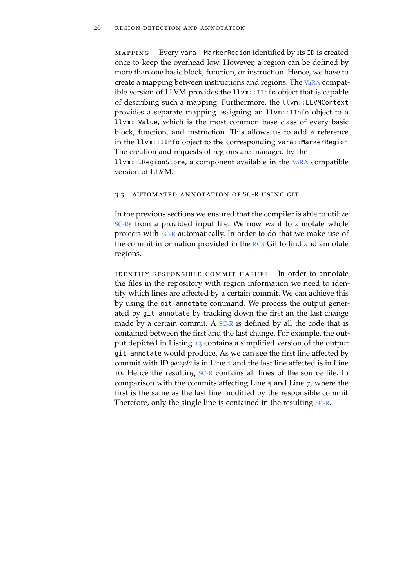mapping Every vara::MarkerRegion identified by its ID is created once to keep the overhead low. However, a region can be defined by more than one basic block, function, or instruction. Hence, we have to create a mapping between instructions and regions. The [VaRA](#page-10-0) compatible version of LLVM provides the llvm::IInfo object that is capable of describing such a mapping. Furthermore, the llvm::LLVMContext provides a separate mapping assigning an llvm::IInfo object to a llvm::Value, which is the most common base class of every basic block, function, and instruction. This allows us to add a reference in the llvm:: IInfo object to the corresponding vara:: MarkerRegion. The creation and requests of regions are managed by the llvm::IRegionStore, a component available in the [VaRA](#page-10-0) compatible version of LLVM.

## 3.3 automated annotation of [SC-R](#page-9-2) using git

In the previous sections we ensured that the compiler is able to utilize [SC-Rs](#page-9-2) from a provided input file. We now want to annotate whole projects with [SC-R](#page-9-2) automatically. In order to do that we make use of the commit information provided in the [RCS](#page-10-1) Git to find and annotate regions.

identify responsible commit hashes In order to annotate the files in the repository with region information we need to identify which lines are affected by a certain commit. We can achieve this by using the git-annotate command. We process the output generated by git-annotate by tracking down the first an the last change made by a certain commit. A  $SC-R$  is defined by all the code that is contained between the first and the last change. For example, the output depicted in Listing [13](#page-38-0) contains a simplified version of the output git-annotate would produce. As we can see the first line affected by commit with ID *9aa9da* is in Line 1 and the last line affected is in Line 10. Hence the resulting [SC-R](#page-9-2) contains all lines of the source file. In comparison with the commits affecting Line 5 and Line 7, where the first is the same as the last line modified by the responsible commit. Therefore, only the single line is contained in the resulting [SC-R](#page-9-2).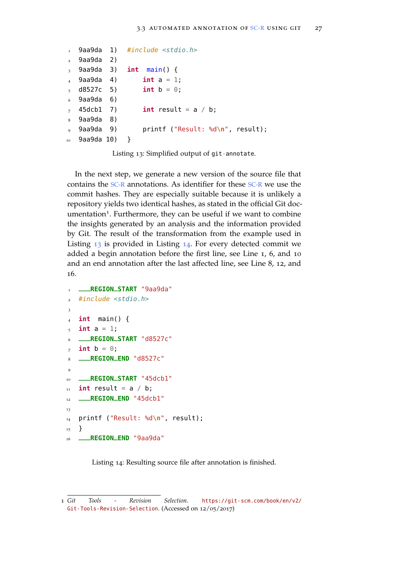```
9aa9da 1)
   2 9aa9da 2)
   9aa9da 3)
   4 9aa9da 4)
5 \text{ d}8527c \quad 5)6 9aa9da 6)
  45dcb1 7)
  9aa9da 8)
  9 9aa9da 9)
10^{10} 9aa9da 10)
                #include <stdio.h>
                int main() {
                     int a = 1;
                     int b = 0;
                     int result = a / b;
                     printf ("Result: %d\n", result);
                 }
```
Listing 13: Simplified output of git-annotate.

In the next step, we generate a new version of the source file that contains the [SC-R](#page-9-2) annotations. As identifier for these [SC-R](#page-9-2) we use the commit hashes. They are especially suitable because it is unlikely a repository yields two identical hashes, as stated in the official Git documentation<sup>1</sup>. Furthermore, they can be useful if we want to combine the insights generated by an analysis and the information provided by Git. The result of the transformation from the example used in Listing [13](#page-38-0) is provided in Listing [14](#page-38-1). For every detected commit we added a begin annotation before the first line, see Line 1, 6, and 10 and an end annotation after the last affected line, see Line 8, 12, and 16.

```
1 ___REGION_START "9aa9da"
, #include \leqstdio.h>
3
4 int main() {
5 \text{ int } a = 1;
6 ___REGION_START "d8527c"
\tau int b = 0:
8 ___REGION_END "d8527c"
\Omega10 ___REGION_START "45dcb1"
11 int result = a / b;
12 ___REGION_END "45dcb1"
13
14 printf ("Result: %d\n", result);
15 }
16 ___REGION_END "9aa9da"
```
Listing 14: Resulting source file after annotation is finished.

<sup>1</sup> *Git Tools - Revision Selection*. [https://git-scm.com/book/en/v2/](https://git-scm.com/book/en/v2/Git-Tools-Revision-Selection) [Git-Tools-Revision-Selection](https://git-scm.com/book/en/v2/Git-Tools-Revision-Selection). (Accessed on 12/05/2017)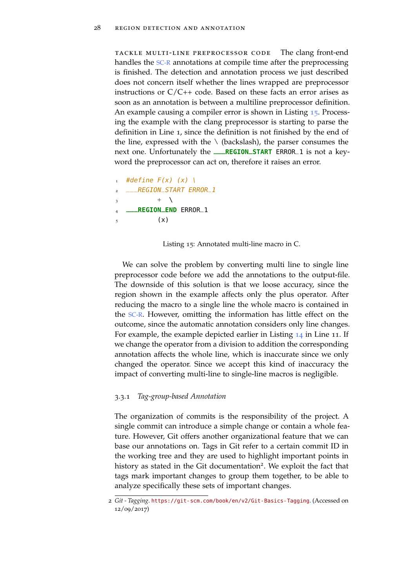tackle multi-line preprocessor code The clang front-end handles the [SC-R](#page-9-2) annotations at compile time after the preprocessing is finished. The detection and annotation process we just described does not concern itself whether the lines wrapped are preprocessor instructions or  $C/C++$  code. Based on these facts an error arises as soon as an annotation is between a multiline preprocessor definition. An example causing a compiler error is shown in Listing [15](#page-39-0). Processing the example with the clang preprocessor is starting to parse the definition in Line 1, since the definition is not finished by the end of the line, expressed with the  $\setminus$  (backslash), the parser consumes the next one. Unfortunately the **\_\_\_REGION\_START** ERROR\_1 is not a keyword the preprocessor can act on, therefore it raises an error.

```
#define F(x) (x) \
___REGION_START ERROR_1
         + \sqrt{}4 ___REGION_END ERROR_1
         (x)
```
Listing 15: Annotated multi-line macro in C.

We can solve the problem by converting multi line to single line preprocessor code before we add the annotations to the output-file. The downside of this solution is that we loose accuracy, since the region shown in the example affects only the plus operator. After reducing the macro to a single line the whole macro is contained in the [SC-R](#page-9-2). However, omitting the information has little effect on the outcome, since the automatic annotation considers only line changes. For example, the example depicted earlier in Listing [14](#page-38-1) in Line 11. If we change the operator from a division to addition the corresponding annotation affects the whole line, which is inaccurate since we only changed the operator. Since we accept this kind of inaccuracy the impact of converting multi-line to single-line macros is negligible.

#### 3.3.1 *Tag-group-based Annotation*

The organization of commits is the responsibility of the project. A single commit can introduce a simple change or contain a whole feature. However, Git offers another organizational feature that we can base our annotations on. Tags in Git refer to a certain commit ID in the working tree and they are used to highlight important points in history as stated in the Git documentation<sup>2</sup>. We exploit the fact that tags mark important changes to group them together, to be able to analyze specifically these sets of important changes.

<sup>2</sup> *Git - Tagging*. <https://git-scm.com/book/en/v2/Git-Basics-Tagging>. (Accessed on 12/09/2017)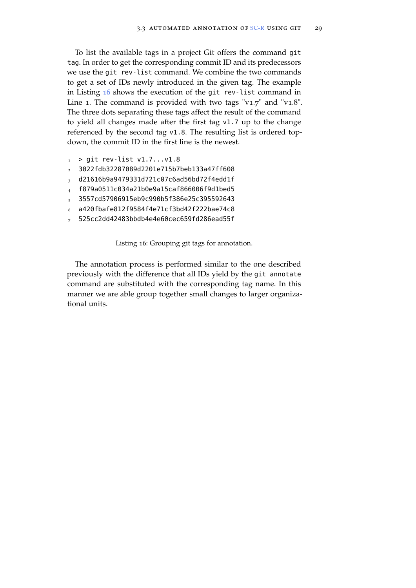To list the available tags in a project Git offers the command git tag. In order to get the corresponding commit ID and its predecessors we use the git rev-list command. We combine the two commands to get a set of IDs newly introduced in the given tag. The example in Listing [16](#page-40-0) shows the execution of the git rev-list command in Line 1. The command is provided with two tags "v1.7" and "v1.8". The three dots separating these tags affect the result of the command to yield all changes made after the first tag v1.7 up to the change referenced by the second tag v1.8. The resulting list is ordered topdown, the commit ID in the first line is the newest.

- <span id="page-40-0"></span> $1 >$  git rev-list v1.7...v1.8
- <sup>2</sup> 3022fdb32287089d2201e715b7beb133a47ff608
- <sup>3</sup> d21616b9a9479331d721c07c6ad56bd72f4edd1f
- <sup>4</sup> f879a0511c034a21b0e9a15caf866006f9d1bed5
- <sup>5</sup> 3557cd57906915eb9c990b5f386e25c395592643
- <sup>6</sup> a420fbafe812f9584f4e71cf3bd42f222bae74c8
- <sup>7</sup> 525cc2dd42483bbdb4e4e60cec659fd286ead55f

Listing 16: Grouping git tags for annotation.

The annotation process is performed similar to the one described previously with the difference that all IDs yield by the git annotate command are substituted with the corresponding tag name. In this manner we are able group together small changes to larger organizational units.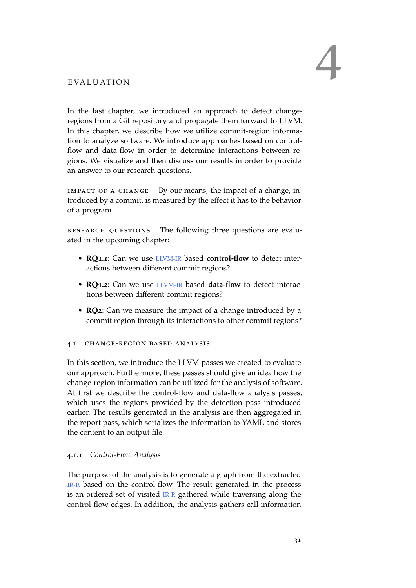<span id="page-42-1"></span>In the last chapter, we introduced an approach to detect changeregions from a Git repository and propagate them forward to LLVM. In this chapter, we describe how we utilize commit-region information to analyze software. We introduce approaches based on controlflow and data-flow in order to determine interactions between regions. We visualize and then discuss our results in order to provide an answer to our research questions.

impact of a change By our means, the impact of a change, introduced by a commit, is measured by the effect it has to the behavior of a program.

research questions The following three questions are evaluated in the upcoming chapter:

- **RQ1.1**: Can we use [LLVM-IR](#page-9-1) based **control-flow** to detect interactions between different commit regions?
- **RQ1.2**: Can we use [LLVM-IR](#page-9-1) based **data-flow** to detect interactions between different commit regions?
- **RQ2**: Can we measure the impact of a change introduced by a commit region through its interactions to other commit regions?

# <span id="page-42-0"></span>4.1 change-region based analysis

In this section, we introduce the LLVM passes we created to evaluate our approach. Furthermore, these passes should give an idea how the change-region information can be utilized for the analysis of software. At first we describe the control-flow and data-flow analysis passes, which uses the regions provided by the detection pass introduced earlier. The results generated in the analysis are then aggregated in the report pass, which serializes the information to YAML and stores the content to an output file.

# 4.1.1 *Control-Flow Analysis*

The purpose of the analysis is to generate a graph from the extracted [IR-R](#page-9-0) based on the control-flow. The result generated in the process is an ordered set of visited [IR-R](#page-9-0) gathered while traversing along the control-flow edges. In addition, the analysis gathers call information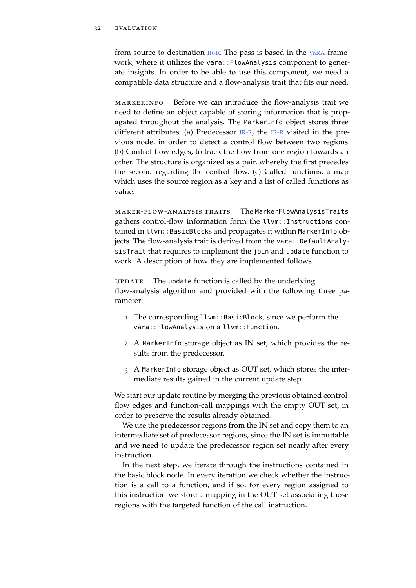from source to destination  $IR-R$ . The pass is based in the [VaRA](#page-10-0) framework, where it utilizes the vara::FlowAnalysis component to generate insights. In order to be able to use this component, we need a compatible data structure and a flow-analysis trait that fits our need.

markerinfo Before we can introduce the flow-analysis trait we need to define an object capable of storing information that is propagated throughout the analysis. The MarkerInfo object stores three different attributes: (a) Predecessor  $IR-R$ , the  $IR-R$  visited in the previous node, in order to detect a control flow between two regions. (b) Control-flow edges, to track the flow from one region towards an other. The structure is organized as a pair, whereby the first precedes the second regarding the control flow. (c) Called functions, a map which uses the source region as a key and a list of called functions as value.

<span id="page-43-0"></span>maker-flow-analysis traits The MarkerFlowAnalysisTraits gathers control-flow information form the llvm::Instructions contained in llvm::BasicBlocks and propagates it within MarkerInfo objects. The flow-analysis trait is derived from the vara:: DefaultAnalysisTrait that requires to implement the join and update function to work. A description of how they are implemented follows.

update The update function is called by the underlying flow-analysis algorithm and provided with the following three parameter:

- 1. The corresponding llvm::BasicBlock, since we perform the vara::FlowAnalysis on a llvm::Function.
- 2. A MarkerInfo storage object as IN set, which provides the results from the predecessor.
- 3. A MarkerInfo storage object as OUT set, which stores the intermediate results gained in the current update step.

We start our update routine by merging the previous obtained controlflow edges and function-call mappings with the empty OUT set, in order to preserve the results already obtained.

We use the predecessor regions from the IN set and copy them to an intermediate set of predecessor regions, since the IN set is immutable and we need to update the predecessor region set nearly after every instruction.

In the next step, we iterate through the instructions contained in the basic block node. In every iteration we check whether the instruction is a call to a function, and if so, for every region assigned to this instruction we store a mapping in the OUT set associating those regions with the targeted function of the call instruction.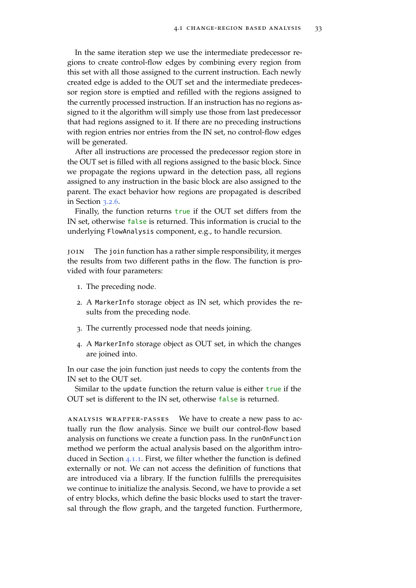In the same iteration step we use the intermediate predecessor regions to create control-flow edges by combining every region from this set with all those assigned to the current instruction. Each newly created edge is added to the OUT set and the intermediate predecessor region store is emptied and refilled with the regions assigned to the currently processed instruction. If an instruction has no regions assigned to it the algorithm will simply use those from last predecessor that had regions assigned to it. If there are no preceding instructions with region entries nor entries from the IN set, no control-flow edges will be generated.

After all instructions are processed the predecessor region store in the OUT set is filled with all regions assigned to the basic block. Since we propagate the regions upward in the detection pass, all regions assigned to any instruction in the basic block are also assigned to the parent. The exact behavior how regions are propagated is described in Section [3](#page-36-0).2.6.

Finally, the function returns true if the OUT set differs from the IN set, otherwise false is returned. This information is crucial to the underlying FlowAnalysis component, e.g., to handle recursion.

join The join function has a rather simple responsibility, it merges the results from two different paths in the flow. The function is provided with four parameters:

- 1. The preceding node.
- 2. A MarkerInfo storage object as IN set, which provides the results from the preceding node.
- 3. The currently processed node that needs joining.
- 4. A MarkerInfo storage object as OUT set, in which the changes are joined into.

In our case the join function just needs to copy the contents from the IN set to the OUT set.

Similar to the update function the return value is either true if the OUT set is different to the IN set, otherwise false is returned.

analysis wrapper-passes We have to create a new pass to actually run the flow analysis. Since we built our control-flow based analysis on functions we create a function pass. In the runOnFunction method we perform the actual analysis based on the algorithm introduced in Section [4](#page-43-0).1.1. First, we filter whether the function is defined externally or not. We can not access the definition of functions that are introduced via a library. If the function fulfills the prerequisites we continue to initialize the analysis. Second, we have to provide a set of entry blocks, which define the basic blocks used to start the traversal through the flow graph, and the targeted function. Furthermore,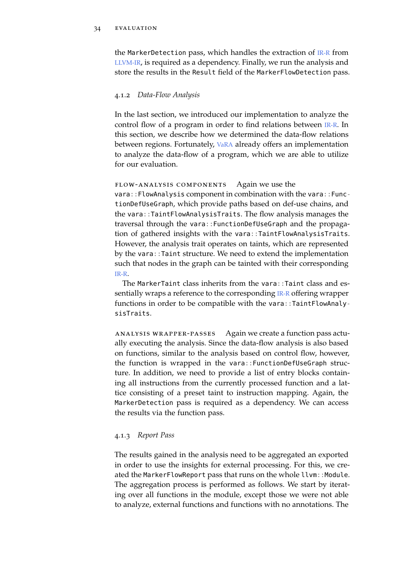## 34 evaluation

the MarkerDetection pass, which handles the extraction of [IR-R](#page-9-0) from [LLVM-IR](#page-9-1), is required as a dependency. Finally, we run the analysis and store the results in the Result field of the MarkerFlowDetection pass.

## 4.1.2 *Data-Flow Analysis*

In the last section, we introduced our implementation to analyze the control flow of a program in order to find relations between [IR-R](#page-9-0). In this section, we describe how we determined the data-flow relations between regions. Fortunately, [VaRA](#page-10-0) already offers an implementation to analyze the data-flow of a program, which we are able to utilize for our evaluation.

## flow-analysis components Again we use the

vara::FlowAnalysis component in combination with the vara::FunctionDefUseGraph, which provide paths based on def-use chains, and the vara::TaintFlowAnalysisTraits. The flow analysis manages the traversal through the vara::FunctionDefUseGraph and the propagation of gathered insights with the vara::TaintFlowAnalysisTraits. However, the analysis trait operates on taints, which are represented by the vara::Taint structure. We need to extend the implementation such that nodes in the graph can be tainted with their corresponding [IR-R](#page-9-0).

The MarkerTaint class inherits from the vara::Taint class and essentially wraps a reference to the corresponding [IR-R](#page-9-0) offering wrapper functions in order to be compatible with the vara::TaintFlowAnalysisTraits.

analysis wrapper-passes Again we create a function pass actually executing the analysis. Since the data-flow analysis is also based on functions, similar to the analysis based on control flow, however, the function is wrapped in the vara::FunctionDefUseGraph structure. In addition, we need to provide a list of entry blocks containing all instructions from the currently processed function and a lattice consisting of a preset taint to instruction mapping. Again, the MarkerDetection pass is required as a dependency. We can access the results via the function pass.

# 4.1.3 *Report Pass*

The results gained in the analysis need to be aggregated an exported in order to use the insights for external processing. For this, we created the MarkerFlowReport pass that runs on the whole llvm: Module. The aggregation process is performed as follows. We start by iterating over all functions in the module, except those we were not able to analyze, external functions and functions with no annotations. The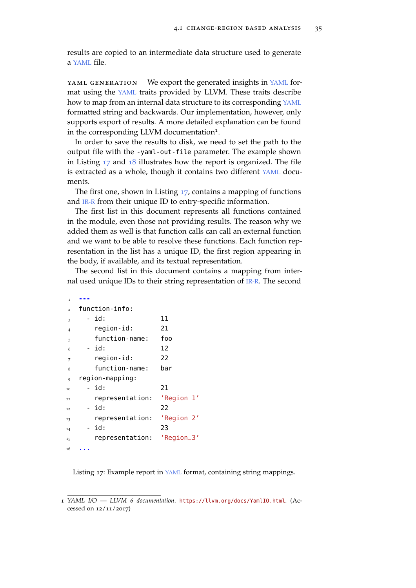results are copied to an intermediate data structure used to generate a [YAML](#page-10-2) file.

[YAML](#page-10-2) GENERATION We export the generated insights in YAML format using the [YAML](#page-10-2) traits provided by LLVM. These traits describe how to map from an internal data structure to its corresponding [YAML](#page-10-2) formatted string and backwards. Our implementation, however, only supports export of results. A more detailed explanation can be found in the corresponding LLVM documentation<sup>1</sup>.

In order to save the results to disk, we need to set the path to the output file with the -yaml-out-file parameter. The example shown in Listing [17](#page-46-0) and [18](#page-47-0) illustrates how the report is organized. The file is extracted as a whole, though it contains two different [YAML](#page-10-2) documents.

The first one, shown in Listing [17](#page-46-0), contains a mapping of functions and [IR-R](#page-9-0) from their unique ID to entry-specific information.

The first list in this document represents all functions contained in the module, even those not providing results. The reason why we added them as well is that function calls can call an external function and we want to be able to resolve these functions. Each function representation in the list has a unique ID, the first region appearing in the body, if available, and its textual representation.

The second list in this document contains a mapping from internal used unique IDs to their string representation of [IR-R](#page-9-0). The second

<span id="page-46-0"></span>

| 1              |                 |                   |
|----------------|-----------------|-------------------|
| $\overline{a}$ | function-info:  |                   |
| 3              | - id:           | 11                |
| $\overline{4}$ | region-id:      | 21                |
| 5              | function-name:  | foo               |
| 6              | - id:           | 12                |
| 7              | region-id:      | 22                |
| 8              | function-name:  | bar               |
| 9              | region-mapping: |                   |
| 10             | - id:           | 21                |
| 11             | representation: | 'Region_1'        |
| 12             | - id:           | 22                |
| 13             | representation: | 'Region_2'        |
| 14             | - id:           | 23                |
| 15             | representation: | $'$ Region $\_3'$ |
| 16             |                 |                   |

Listing 17: Example report in [YAML](#page-10-2) format, containing string mappings.

<sup>1</sup> *YAML I/O — LLVM 6 documentation*. <https://llvm.org/docs/YamlIO.html>. (Accessed on 12/11/2017)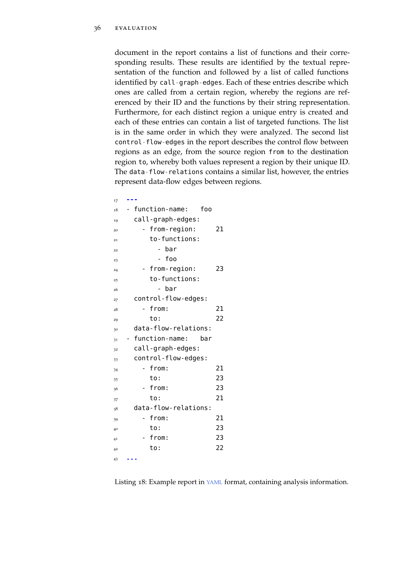document in the report contains a list of functions and their corresponding results. These results are identified by the textual representation of the function and followed by a list of called functions identified by call-graph-edges. Each of these entries describe which ones are called from a certain region, whereby the regions are referenced by their ID and the functions by their string representation. Furthermore, for each distinct region a unique entry is created and each of these entries can contain a list of targeted functions. The list is in the same order in which they were analyzed. The second list control-flow-edges in the report describes the control flow between regions as an edge, from the source region from to the destination region to, whereby both values represent a region by their unique ID. The data-flow-relations contains a similar list, however, the entries represent data-flow edges between regions.

<span id="page-47-0"></span>

| 17 |                         |
|----|-------------------------|
| 18 | - function-name:<br>foo |
| 19 | call-graph-edges:       |
| 20 | - from-region:<br>21    |
| 21 | to-functions:           |
| 22 | bar                     |
| 23 | foo                     |
| 24 | - from-region:<br>23    |
| 25 | to-functions:           |
| 26 | bar                     |
| 27 | control-flow-edges:     |
| 28 | from:<br>21             |
| 29 | 22<br>to:               |
|    | data-flow-relations:    |
| 30 |                         |
| 31 | function-name:<br>bar   |
| 32 | call-graph-edges:       |
| 33 | control-flow-edges:     |
| 34 | from:<br>21             |
| 35 | 23<br>to:               |
| 36 | 23<br>from:             |
| 37 | 21<br>to:               |
| 38 | data-flow-relations:    |
| 39 | from:<br>21             |
| 40 | 23<br>to:               |
| 41 | - from:<br>23           |
| 42 | 22<br>to:               |

Listing 18: Example report in [YAML](#page-10-2) format, containing analysis information.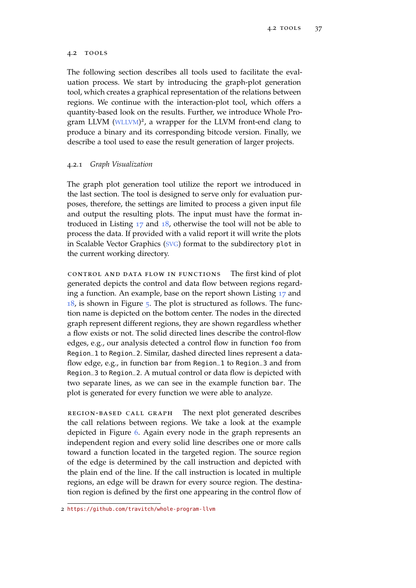# 4.2 tools

The following section describes all tools used to facilitate the evaluation process. We start by introducing the graph-plot generation tool, which creates a graphical representation of the relations between regions. We continue with the interaction-plot tool, which offers a quantity-based look on the results. Further, we introduce Whole Pro-gram LLVM ([WLLVM](#page-10-3))<sup>2</sup>, a wrapper for the LLVM front-end clang to produce a binary and its corresponding bitcode version. Finally, we describe a tool used to ease the result generation of larger projects.

# 4.2.1 *Graph Visualization*

The graph plot generation tool utilize the report we introduced in the last section. The tool is designed to serve only for evaluation purposes, therefore, the settings are limited to process a given input file and output the resulting plots. The input must have the format introduced in Listing  $17$  and  $18$ , otherwise the tool will not be able to process the data. If provided with a valid report it will write the plots in Scalable Vector Graphics ([SVG](#page-10-4)) format to the subdirectory plot in the current working directory.

control and data flow in functions The first kind of plot generated depicts the control and data flow between regions regarding a function. An example, base on the report shown Listing [17](#page-46-0) and  $18$ , is shown in Figure  $\frac{1}{2}$ . The plot is structured as follows. The function name is depicted on the bottom center. The nodes in the directed graph represent different regions, they are shown regardless whether a flow exists or not. The solid directed lines describe the control-flow edges, e.g., our analysis detected a control flow in function foo from Region\_1 to Region\_2. Similar, dashed directed lines represent a dataflow edge, e.g., in function bar from Region\_1 to Region\_3 and from Region\_3 to Region\_2. A mutual control or data flow is depicted with two separate lines, as we can see in the example function bar. The plot is generated for every function we were able to analyze.

region-based call graph The next plot generated describes the call relations between regions. We take a look at the example depicted in Figure [6](#page-49-1). Again every node in the graph represents an independent region and every solid line describes one or more calls toward a function located in the targeted region. The source region of the edge is determined by the call instruction and depicted with the plain end of the line. If the call instruction is located in multiple regions, an edge will be drawn for every source region. The destination region is defined by the first one appearing in the control flow of

<sup>2</sup> <https://github.com/travitch/whole-program-llvm>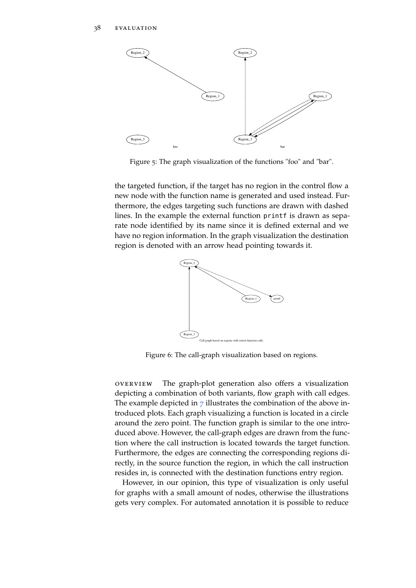<span id="page-49-0"></span>

Figure 5: The graph visualization of the functions "foo" and "bar".

the targeted function, if the target has no region in the control flow a new node with the function name is generated and used instead. Furthermore, the edges targeting such functions are drawn with dashed lines. In the example the external function printf is drawn as separate node identified by its name since it is defined external and we have no region information. In the graph visualization the destination region is denoted with an arrow head pointing towards it.

<span id="page-49-1"></span>

Figure 6: The call-graph visualization based on regions.

overview The graph-plot generation also offers a visualization depicting a combination of both variants, flow graph with call edges. The example depicted in  $\overline{7}$  $\overline{7}$  $\overline{7}$  illustrates the combination of the above introduced plots. Each graph visualizing a function is located in a circle around the zero point. The function graph is similar to the one introduced above. However, the call-graph edges are drawn from the function where the call instruction is located towards the target function. Furthermore, the edges are connecting the corresponding regions directly, in the source function the region, in which the call instruction resides in, is connected with the destination functions entry region.

However, in our opinion, this type of visualization is only useful for graphs with a small amount of nodes, otherwise the illustrations gets very complex. For automated annotation it is possible to reduce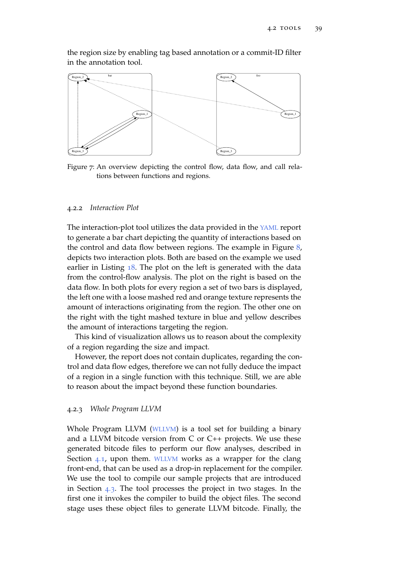the region size by enabling tag based annotation or a commit-ID filter in the annotation tool.

<span id="page-50-0"></span>

Figure 7: An overview depicting the control flow, data flow, and call relations between functions and regions.

# 4.2.2 *Interaction Plot*

The interaction-plot tool utilizes the data provided in the [YAML](#page-10-2) report to generate a bar chart depicting the quantity of interactions based on the control and data flow between regions. The example in Figure  $\delta$ , depicts two interaction plots. Both are based on the example we used earlier in Listing [18](#page-47-0). The plot on the left is generated with the data from the control-flow analysis. The plot on the right is based on the data flow. In both plots for every region a set of two bars is displayed, the left one with a loose mashed red and orange texture represents the amount of interactions originating from the region. The other one on the right with the tight mashed texture in blue and yellow describes the amount of interactions targeting the region.

This kind of visualization allows us to reason about the complexity of a region regarding the size and impact.

However, the report does not contain duplicates, regarding the control and data flow edges, therefore we can not fully deduce the impact of a region in a single function with this technique. Still, we are able to reason about the impact beyond these function boundaries.

### 4.2.3 *Whole Program LLVM*

Whole Program LLVM ([WLLVM](#page-10-3)) is a tool set for building a binary and a LLVM bitcode version from C or C++ projects. We use these generated bitcode files to perform our flow analyses, described in Section [4](#page-42-0).1, upon them. [WLLVM](#page-10-3) works as a wrapper for the clang front-end, that can be used as a drop-in replacement for the compiler. We use the tool to compile our sample projects that are introduced in Section [4](#page-52-0).3. The tool processes the project in two stages. In the first one it invokes the compiler to build the object files. The second stage uses these object files to generate LLVM bitcode. Finally, the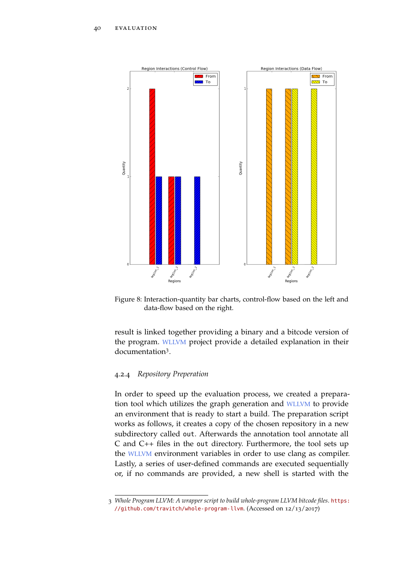<span id="page-51-0"></span>

Figure 8: Interaction-quantity bar charts, control-flow based on the left and data-flow based on the right.

result is linked together providing a binary and a bitcode version of the program. [WLLVM](#page-10-3) project provide a detailed explanation in their documentation<sup>3</sup> .

## 4.2.4 *Repository Preperation*

In order to speed up the evaluation process, we created a preparation tool which utilizes the graph generation and [WLLVM](#page-10-3) to provide an environment that is ready to start a build. The preparation script works as follows, it creates a copy of the chosen repository in a new subdirectory called out. Afterwards the annotation tool annotate all C and C++ files in the out directory. Furthermore, the tool sets up the [WLLVM](#page-10-3) environment variables in order to use clang as compiler. Lastly, a series of user-defined commands are executed sequentially or, if no commands are provided, a new shell is started with the

<sup>3</sup> *Whole Program LLVM: A wrapper script to build whole-program LLVM bitcode files*. [https:](https://github.com/travitch/whole-program-llvm) [//github.com/travitch/whole-program-llvm](https://github.com/travitch/whole-program-llvm). (Accessed on 12/13/2017)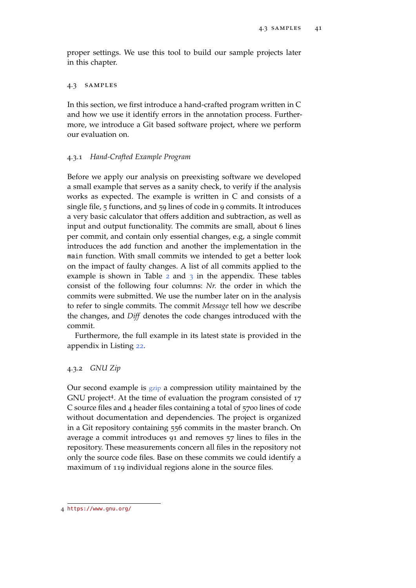proper settings. We use this tool to build our sample projects later in this chapter.

## <span id="page-52-0"></span>4.3 samples

In this section, we first introduce a hand-crafted program written in C and how we use it identify errors in the annotation process. Furthermore, we introduce a Git based software project, where we perform our evaluation on.

# 4.3.1 *Hand-Crafted Example Program*

Before we apply our analysis on preexisting software we developed a small example that serves as a sanity check, to verify if the analysis works as expected. The example is written in C and consists of a single file, 5 functions, and 59 lines of code in 9 commits. It introduces a very basic calculator that offers addition and subtraction, as well as input and output functionality. The commits are small, about 6 lines per commit, and contain only essential changes, e.g, a single commit introduces the add function and another the implementation in the main function. With small commits we intended to get a better look on the impact of faulty changes. A list of all commits applied to the example is shown in Table  $2$  and  $3$  in the appendix. These tables consist of the following four columns: *Nr.* the order in which the commits were submitted. We use the number later on in the analysis to refer to single commits. The commit *Message* tell how we describe the changes, and *Diff* denotes the code changes introduced with the commit.

Furthermore, the full example in its latest state is provided in the appendix in Listing [22](#page-69-0).

# 4.3.2 *GNU Zip*

Our second example is [gzip](#page-10-5) a compression utility maintained by the GNU project<sup>4</sup>. At the time of evaluation the program consisted of 17 C source files and 4 header files containing a total of 5700 lines of code without documentation and dependencies. The project is organized in a Git repository containing 556 commits in the master branch. On average a commit introduces 91 and removes 57 lines to files in the repository. These measurements concern all files in the repository not only the source code files. Base on these commits we could identify a maximum of 119 individual regions alone in the source files.

<sup>4</sup> <https://www.gnu.org/>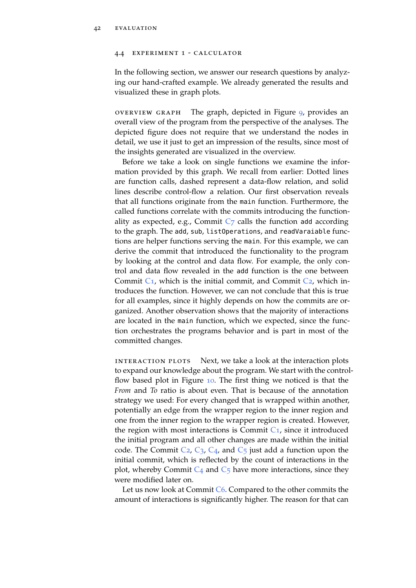#### 4.4 experiment 1 - calculator

In the following section, we answer our research questions by analyzing our hand-crafted example. We already generated the results and visualized these in graph plots.

OVERVIEW GRAPH The graph, depicted in Figure  $9$ , provides an overall view of the program from the perspective of the analyses. The depicted figure does not require that we understand the nodes in detail, we use it just to get an impression of the results, since most of the insights generated are visualized in the overview.

Before we take a look on single functions we examine the information provided by this graph. We recall from earlier: Dotted lines are function calls, dashed represent a data-flow relation, and solid lines describe control-flow a relation. Our first observation reveals that all functions originate from the main function. Furthermore, the called functions correlate with the commits introducing the function-ality as expected, e.g., [C](#page-70-1)ommit  $C_7$  calls the function add according to the graph. The add, sub, listOperations, and readVaraiable functions are helper functions serving the main. For this example, we can derive the commit that introduced the functionality to the program by looking at the control and data flow. For example, the only control and data flow revealed in the add function is the one between [C](#page-71-2)ommit  $C_1$ , which is the initial commit, and Commit  $C_2$ , which introduces the function. However, we can not conclude that this is true for all examples, since it highly depends on how the commits are organized. Another observation shows that the majority of interactions are located in the main function, which we expected, since the function orchestrates the programs behavior and is part in most of the committed changes.

interaction plots Next, we take a look at the interaction plots to expand our knowledge about the program. We start with the controlflow based plot in Figure [10](#page-55-0). The first thing we noticed is that the *From* and *To* ratio is about even. That is because of the annotation strategy we used: For every changed that is wrapped within another, potentially an edge from the wrapper region to the inner region and one from the inner region to the wrapper region is created. However, the region with most interactions is [C](#page-71-1)ommit  $C_1$ , since it introduced the initial program and all other changes are made within the initial code. The [C](#page-70-2)ommit  $C_2$ ,  $C_3$ ,  $C_4$ , and  $C_5$  just add a function upon the initial commit, which is reflected by the count of interactions in the plot, whereby [C](#page-70-2)ommit  $C_4$  and  $C_5$  have more interactions, since they were modified later on.

Let us now look at [C](#page-70-3)ommit  $C_6$ . Compared to the other commits the amount of interactions is significantly higher. The reason for that can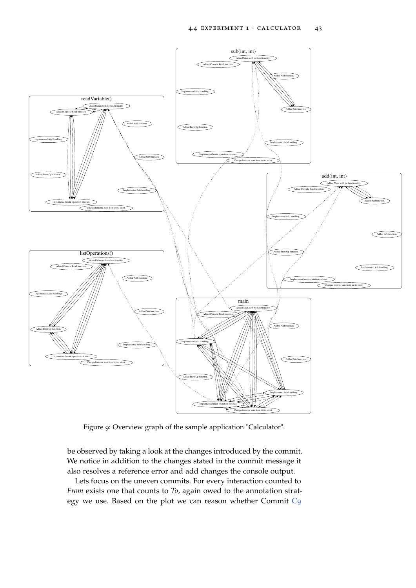<span id="page-54-0"></span>

Figure 9: Overview graph of the sample application "Calculator".

be observed by taking a look at the changes introduced by the commit. We notice in addition to the changes stated in the commit message it also resolves a reference error and add changes the console output.

Lets focus on the uneven commits. For every interaction counted to *From* exists one that counts to *To*, again owed to the annotation strategy we use. Based on the plot we can reason whether Commit [C](#page-70-4)9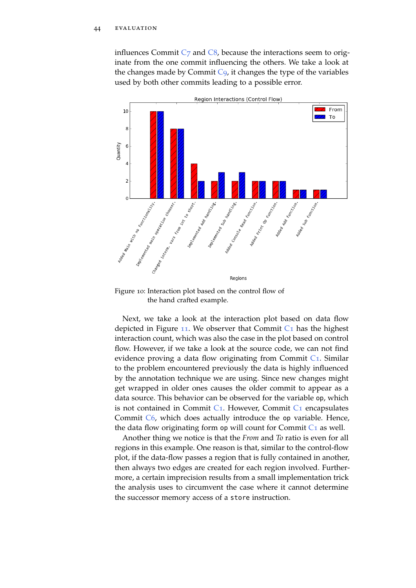influences [C](#page-70-5)ommit  $C_7$  and  $C_8$ , because the interactions seem to originate from the one commit influencing the others. We take a look at the changes made by [C](#page-70-4)ommit  $C_9$ , it changes the type of the variables used by both other commits leading to a possible error.

<span id="page-55-0"></span>

Figure 10: Interaction plot based on the control flow of the hand crafted example.

Next, we take a look at the interaction plot based on data flow depicted in Figure [11](#page-56-0). We observer that [C](#page-71-1)ommit  $C_1$  has the highest interaction count, which was also the case in the plot based on control flow. However, if we take a look at the source code, we can not find evidence proving a data flow originating from [C](#page-71-1)ommit  $C_1$ . Similar to the problem encountered previously the data is highly influenced by the annotation technique we are using. Since new changes might get wrapped in older ones causes the older commit to appear as a data source. This behavior can be observed for the variable op, which is not contained in [C](#page-71-1)ommit  $C_1$ . However, Commit  $C_1$  encapsulates [C](#page-70-3)ommit C6, which does actually introduce the op variable. Hence, the data flow originating form op will count for [C](#page-71-1)ommit  $C_1$  as well.

Another thing we notice is that the *From* and *To* ratio is even for all regions in this example. One reason is that, similar to the control-flow plot, if the data-flow passes a region that is fully contained in another, then always two edges are created for each region involved. Furthermore, a certain imprecision results from a small implementation trick the analysis uses to circumvent the case where it cannot determine the successor memory access of a store instruction.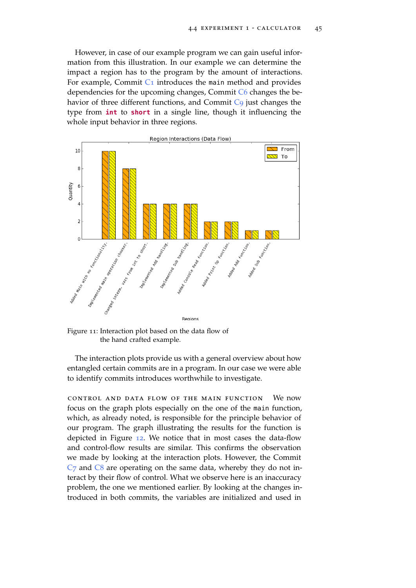However, in case of our example program we can gain useful information from this illustration. In our example we can determine the impact a region has to the program by the amount of interactions. For example, [C](#page-71-1)ommit  $C_1$  introduces the main method and provides dependencies for the upcoming changes, Commit [C](#page-70-3)6 changes the be-havior of three different functions, and [C](#page-70-4)ommit C<sub>9</sub> just changes the type from **int** to **short** in a single line, though it influencing the whole input behavior in three regions.

<span id="page-56-0"></span>

Figure 11: Interaction plot based on the data flow of the hand crafted example.

The interaction plots provide us with a general overview about how entangled certain commits are in a program. In our case we were able to identify commits introduces worthwhile to investigate.

control and data flow of the main function We now focus on the graph plots especially on the one of the main function, which, as already noted, is responsible for the principle behavior of our program. The graph illustrating the results for the function is depicted in Figure [12](#page-57-0). We notice that in most cases the data-flow and control-flow results are similar. This confirms the observation we made by looking at the interaction plots. However, the Commit  $C<sub>7</sub>$  $C<sub>7</sub>$  and  $C<sub>8</sub>$  are operating on the same data, whereby they do not interact by their flow of control. What we observe here is an inaccuracy problem, the one we mentioned earlier. By looking at the changes introduced in both commits, the variables are initialized and used in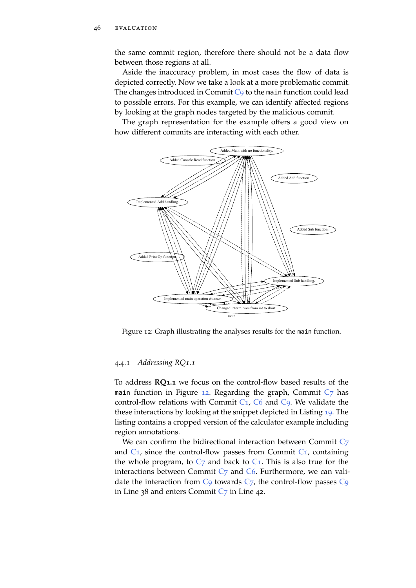the same commit region, therefore there should not be a data flow between those regions at all.

Aside the inaccuracy problem, in most cases the flow of data is depicted correctly. Now we take a look at a more problematic commit. The changes introduced in [C](#page-70-4)ommit  $C_9$  to the main function could lead to possible errors. For this example, we can identify affected regions by looking at the graph nodes targeted by the malicious commit.

The graph representation for the example offers a good view on how different commits are interacting with each other.

<span id="page-57-0"></span>

Figure 12: Graph illustrating the analyses results for the main function.

## 4.4.1 *Addressing RQ1.1*

To address **RQ1.1** we focus on the control-flow based results of the main function in Figure [12](#page-57-0). Regarding the graph, [C](#page-70-1)ommit  $C_7$  has control-flow relations with [C](#page-70-4)ommit  $C_1$ ,  $C_6$  and  $C_9$ . We validate the these interactions by looking at the snippet depicted in Listing [19](#page-58-0). The listing contains a cropped version of the calculator example including region annotations.

We can confirm the bidirectional interaction between [C](#page-70-1)ommit C7 and  $C_1$  $C_1$ , since the control-flow passes from Commit  $C_1$ , containing the whole program, to  $C_7$  $C_7$  and back to  $C_1$ . This is also true for the interactions between [C](#page-70-3)ommit  $C_7$  and  $C_6$ . Furthermore, we can validate the interaction from  $C_9$  $C_9$  towards  $C_7$ , the control-flow passes  $C_9$ in Line 38 and enters [C](#page-70-1)ommit  $C_7$  in Line 42.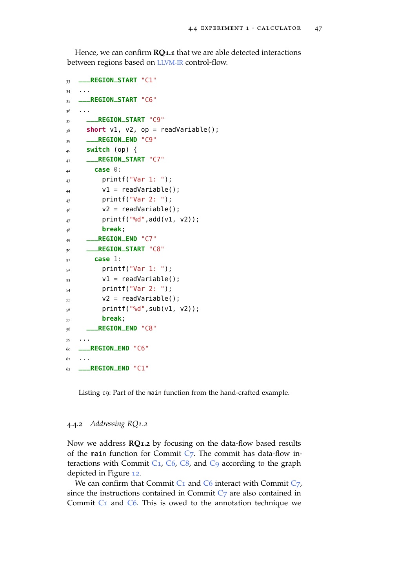Hence, we can confirm **RQ1.1** that we are able detected interactions between regions based on [LLVM-IR](#page-9-1) control-flow.

```
33 ___REGION_START "C1"
34 ...
35 ___REGION_START "C6"
36 \cdot . . .37 ___REGION_START "C9"
38 short v1, v2, op = readVariable();
39 ___REGION_END "C9"
40 switch (op) {
41 ___REGION_START "C7"
42 case 0:
_{43} printf("Var 1: ");
v1 = readVariable();
45 printf("Var 2: ");
v2 = readVariable();
_{47} printf("%d",add(v1, v2));
48 break;
49 ___REGION_END "C7"
50 ___REGION_START "C8"
51 case 1:
52 printf("Var 1: ");
v1 = readVariable();
54 printf("Var 2: ");
v2 = readVariable();
56 printf("%d",sub(v1, v2));
57 break;
58 ___REGION_END "C8"
59 ...
60 ___REGION_END "C6"
61 \t...62 ___REGION_END "C1"
```
Listing 19: Part of the main function from the hand-crafted example.

# 4.4.2 *Addressing RQ1.2*

Now we address **RQ1.2** by focusing on the data-flow based results of the main function for [C](#page-70-1)ommit  $C_7$ . The commit has data-flow in-teractions with [C](#page-70-4)ommit C<sub>1</sub>, C<sub>6</sub>, C<sub>8</sub>, and C<sub>9</sub> according to the graph depicted in Figure [12](#page-57-0).

We can confirm that [C](#page-70-1)ommit  $C_1$  and  $C_6$  interact with Commit  $C_7$ , since the instructions contained in [C](#page-70-1)ommit  $C_7$  are also contained in [C](#page-70-3)ommit  $C_1$  and  $C_6$ . This is owed to the annotation technique we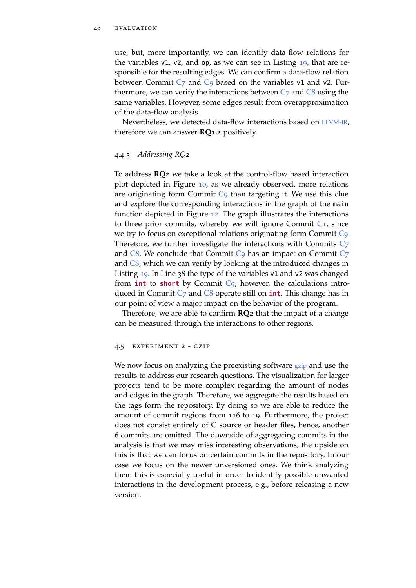use, but, more importantly, we can identify data-flow relations for the variables v1, v2, and op, as we can see in Listing [19](#page-58-0), that are responsible for the resulting edges. We can confirm a data-flow relation between [C](#page-70-4)ommit  $C_7$  and  $C_9$  based on the variables v1 and v2. Furthermore, we can verify the interactions between  $C_7$  $C_7$  and  $C_8$  using the same variables. However, some edges result from overapproximation of the data-flow analysis.

Nevertheless, we detected data-flow interactions based on [LLVM-IR](#page-9-1), therefore we can answer **RQ1.2** positively.

## 4.4.3 *Addressing RQ2*

To address **RQ2** we take a look at the control-flow based interaction plot depicted in Figure [10](#page-55-0), as we already observed, more relations are originating form [C](#page-70-4)ommit  $C<sub>9</sub>$  than targeting it. We use this clue and explore the corresponding interactions in the graph of the main function depicted in Figure [12](#page-57-0). The graph illustrates the interactions to three prior commits, whereby we will ignore [C](#page-71-1)ommit  $C_1$ , since we try to focus on exceptional relations originating form Commit [C](#page-70-4)9. Therefore, we further investigate the interactions with Commits [C](#page-70-1)7 and  $C8$  $C8$ . We conclude that Commit  $C9$  has an impact on Commit  $C7$ and [C](#page-70-5)8, which we can verify by looking at the introduced changes in Listing [19](#page-58-0). In Line 38 the type of the variables v1 and v2 was changed from **int** to **short** by Commit [C](#page-70-4)9, however, the calculations introduced in Commit [C](#page-70-1)7 and [C](#page-70-5)8 operate still on **int**. This change has in our point of view a major impact on the behavior of the program.

Therefore, we are able to confirm **RQ2** that the impact of a change can be measured through the interactions to other regions.

#### 4.5 experiment 2 - gzip

We now focus on analyzing the preexisting software [gzip](#page-10-5) and use the results to address our research questions. The visualization for larger projects tend to be more complex regarding the amount of nodes and edges in the graph. Therefore, we aggregate the results based on the tags form the repository. By doing so we are able to reduce the amount of commit regions from 116 to 19. Furthermore, the project does not consist entirely of C source or header files, hence, another 6 commits are omitted. The downside of aggregating commits in the analysis is that we may miss interesting observations, the upside on this is that we can focus on certain commits in the repository. In our case we focus on the newer unversioned ones. We think analyzing them this is especially useful in order to identify possible unwanted interactions in the development process, e.g., before releasing a new version.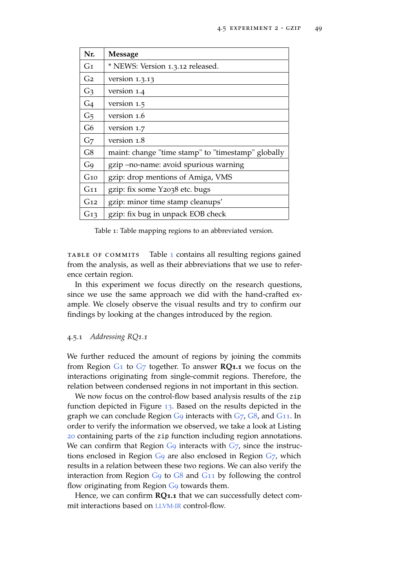<span id="page-60-1"></span><span id="page-60-0"></span>

| Nr.             | <b>Message</b>                                     |  |
|-----------------|----------------------------------------------------|--|
| G <sub>1</sub>  | * NEWS: Version 1.3.12 released.                   |  |
| G <sub>2</sub>  | version $1.3.13$                                   |  |
| G <sub>3</sub>  | version 1.4                                        |  |
| G <sub>4</sub>  | version 1.5                                        |  |
| G <sub>5</sub>  | version 1.6                                        |  |
| G <sub>6</sub>  | version 1.7                                        |  |
| G <sub>7</sub>  | version 1.8                                        |  |
| G8              | maint: change "time stamp" to "timestamp" globally |  |
| G <sub>9</sub>  | gzip – no-name: avoid spurious warning             |  |
| G10             | gzip: drop mentions of Amiga, VMS                  |  |
| G11             | gzip: fix some Y2038 etc. bugs                     |  |
| G <sub>12</sub> | gzip: minor time stamp cleanups'                   |  |
| G <sub>13</sub> | gzip: fix bug in unpack EOB check                  |  |

<span id="page-60-7"></span><span id="page-60-6"></span><span id="page-60-5"></span><span id="page-60-4"></span><span id="page-60-3"></span><span id="page-60-2"></span>Table 1: Table mapping regions to an abbreviated version.

table of commits Table [1](#page-60-0) contains all resulting regions gained from the analysis, as well as their abbreviations that we use to reference certain region.

In this experiment we focus directly on the research questions, since we use the same approach we did with the hand-crafted example. We closely observe the visual results and try to confirm our findings by looking at the changes introduced by the region.

## 4.5.1 *Addressing RQ1.1*

We further reduced the amount of regions by joining the commits from Region [G](#page-60-1)1 to [G](#page-60-2)7 together. To answer **RQ1.1** we focus on the interactions originating from single-commit regions. Therefore, the relation between condensed regions in not important in this section.

We now focus on the control-flow based analysis results of the zip function depicted in Figure [13](#page-61-0). Based on the results depicted in the graph we can conclude Region  $G_9$  $G_9$  interacts with  $G_7$ ,  $G_8$ , and  $G_{11}$  $G_{11}$  $G_{11}$ . In order to verify the information we observed, we take a look at Listing [20](#page-62-0) containing parts of the zip function including region annotations. We can confirm that Region  $G_9$  $G_9$  interacts with  $G_7$ , since the instructions enclosed in Region [G](#page-60-3)9 are also enclosed in Region [G](#page-60-2)7, which results in a relation between these two regions. We can also verify the interaction from Region [G](#page-60-3)9 to [G](#page-60-4)8 and G[11](#page-60-5) by following the control flow originating from Region [G](#page-60-3)9 towards them.

Hence, we can confirm **RQ1.1** that we can successfully detect commit interactions based on [LLVM-IR](#page-9-1) control-flow.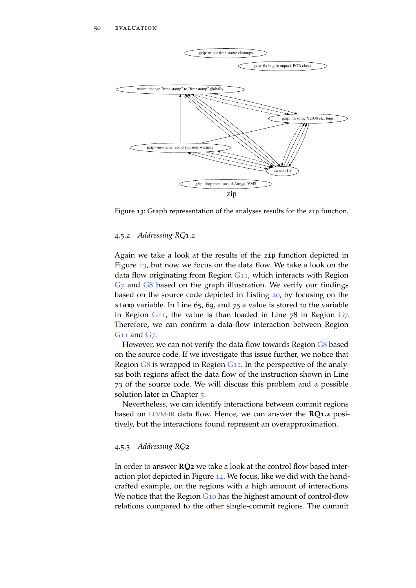<span id="page-61-0"></span>

Figure 13: Graph representation of the analyses results for the zip function.

# 4.5.2 *Addressing RQ1.2*

Again we take a look at the results of the zip function depicted in Figure [13](#page-61-0), but now we focus on the data flow. We take a look on the data flow originating from Region G[11](#page-60-5), which interacts with Region [G](#page-60-4)<sub>7</sub> and G8 based on the graph illustration. We verify our findings based on the source code depicted in Listing [20](#page-62-0), by focusing on the stamp variable. In Line 65, 69, and 75 a value is stored to the variable in Region  $G_{11}$  $G_{11}$  $G_{11}$ , the value is than loaded in Line  $78$  in Region  $G_7$  $G_7$ . Therefore, we can confirm a data-flow interaction between Region G[11](#page-60-5) and [G](#page-60-2)7.

However, we can not verify the data flow towards Region [G](#page-60-4)8 based on the source code. If we investigate this issue further, we notice that Region  $G8$  $G8$  is wrapped in Region  $G11$  $G11$ . In the perspective of the analysis both regions affect the data flow of the instruction shown in Line 73 of the source code. We will discuss this problem and a possible solution later in Chapter [5](#page-64-0).

Nevertheless, we can identify interactions between commit regions based on [LLVM-IR](#page-9-1) data flow. Hence, we can answer the **RQ1.2** positively, but the interactions found represent an overapproximation.

# 4.5.3 *Addressing RQ2*

In order to answer **RQ2** we take a look at the control flow based interaction plot depicted in Figure [14](#page-63-0). We focus, like we did with the handcrafted example, on the regions with a high amount of interactions. We notice that the Region G<sub>[10](#page-60-6)</sub> has the highest amount of control-flow relations compared to the other single-commit regions. The commit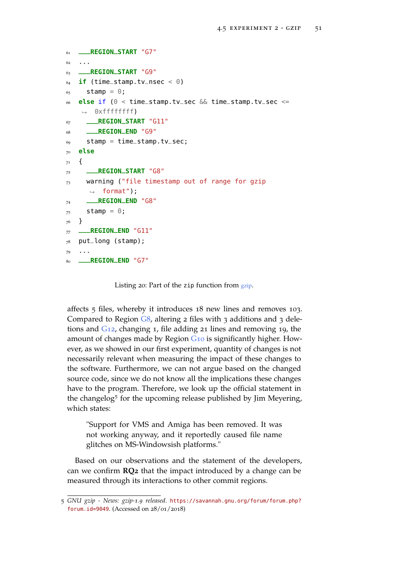```
61 ___REGION_START "G7"
62
63 ___REGION_START "G9"
64 if (time_stamp.tv_nsec < 0)
65 stamp = 0;
66 else if (0 < time_stamp.tv_sec && time_stamp.tv_sec <=
    \rightarrow 0xffffffffff)
67 ___REGION_START "G11"
68 ___REGION_END "G9"
69 stamp = time_stamp.tv_sec;
70 else
71 \frac{1}{2}72 ___REGION_START "G8"
73 warning ("file timestamp out of range for gzip
      ,→ format");
74 ___REGION_END "G8"
75 stamp = \theta:
76 }
77 ___REGION_END "G11"
78 put_long (stamp);
79 ...
80 ___REGION_END "G7"
```
Listing 20: Part of the zip function from [gzip](#page-10-5).

affects 5 files, whereby it introduces 18 new lines and removes 103. Compared to Region  $\overline{G8}$  $\overline{G8}$  $\overline{G8}$ , altering 2 files with 3 additions and 3 deletions and G[12](#page-60-7), changing 1, file adding 21 lines and removing 19, the amount of changes made by Region G[10](#page-60-6) is significantly higher. However, as we showed in our first experiment, quantity of changes is not necessarily relevant when measuring the impact of these changes to the software. Furthermore, we can not argue based on the changed source code, since we do not know all the implications these changes have to the program. Therefore, we look up the official statement in the changelog<sup>5</sup> for the upcoming release published by Jim Meyering, which states:

"Support for VMS and Amiga has been removed. It was not working anyway, and it reportedly caused file name glitches on MS-Windowsish platforms."

Based on our observations and the statement of the developers, can we confirm **RQ2** that the impact introduced by a change can be measured through its interactions to other commit regions.

<sup>5</sup> *GNU gzip - News: gzip-1.9 released*. [https://savannah.gnu.org/forum/forum.php?](https://savannah.gnu.org/forum/forum.php?forum_id=9049) [forum\\_id=9049](https://savannah.gnu.org/forum/forum.php?forum_id=9049). (Accessed on 28/01/2018)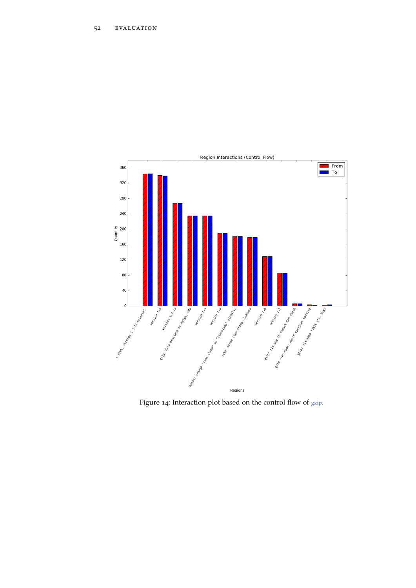<span id="page-63-0"></span>

Figure 14: Interaction plot based on the control flow of [gzip](#page-10-5).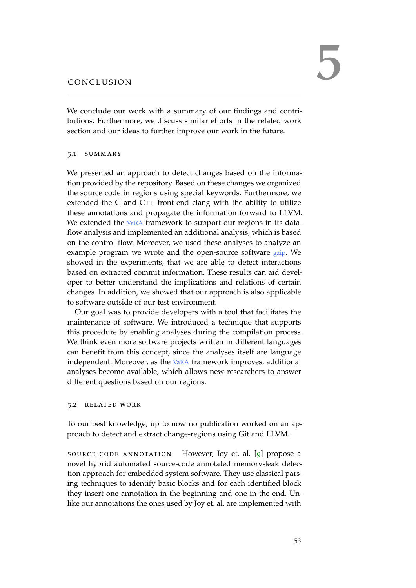<span id="page-64-0"></span>We conclude our work with a summary of our findings and contributions. Furthermore, we discuss similar efforts in the related work section and our ideas to further improve our work in the future.

#### 5.1 SUMMARY

We presented an approach to detect changes based on the information provided by the repository. Based on these changes we organized the source code in regions using special keywords. Furthermore, we extended the C and C++ front-end clang with the ability to utilize these annotations and propagate the information forward to LLVM. We extended the [VaRA](#page-10-0) framework to support our regions in its dataflow analysis and implemented an additional analysis, which is based on the control flow. Moreover, we used these analyses to analyze an example program we wrote and the open-source software [gzip](#page-10-5). We showed in the experiments, that we are able to detect interactions based on extracted commit information. These results can aid developer to better understand the implications and relations of certain changes. In addition, we showed that our approach is also applicable to software outside of our test environment.

Our goal was to provide developers with a tool that facilitates the maintenance of software. We introduced a technique that supports this procedure by enabling analyses during the compilation process. We think even more software projects written in different languages can benefit from this concept, since the analyses itself are language independent. Moreover, as the [VaRA](#page-10-0) framework improves, additional analyses become available, which allows new researchers to answer different questions based on our regions.

## 5.2 related work

To our best knowledge, up to now no publication worked on an approach to detect and extract change-regions using Git and LLVM.

source-code annotation However, Joy et. al. [[9](#page-72-0)] propose a novel hybrid automated source-code annotated memory-leak detection approach for embedded system software. They use classical parsing techniques to identify basic blocks and for each identified block they insert one annotation in the beginning and one in the end. Unlike our annotations the ones used by Joy et. al. are implemented with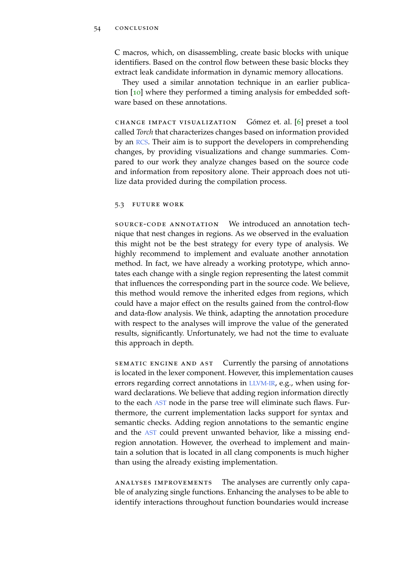## 54 CONCLUSION

C macros, which, on disassembling, create basic blocks with unique identifiers. Based on the control flow between these basic blocks they extract leak candidate information in dynamic memory allocations.

They used a similar annotation technique in an earlier publica-tion [[10](#page-72-1)] where they performed a timing analysis for embedded software based on these annotations.

change impact visualization Gómez et. al. [[6](#page-72-2)] preset a tool called *Torch* that characterizes changes based on information provided by an [RCS](#page-10-1). Their aim is to support the developers in comprehending changes, by providing visualizations and change summaries. Compared to our work they analyze changes based on the source code and information from repository alone. Their approach does not utilize data provided during the compilation process.

## 5.3 future work

source-code annotation We introduced an annotation technique that nest changes in regions. As we observed in the evaluation this might not be the best strategy for every type of analysis. We highly recommend to implement and evaluate another annotation method. In fact, we have already a working prototype, which annotates each change with a single region representing the latest commit that influences the corresponding part in the source code. We believe, this method would remove the inherited edges from regions, which could have a major effect on the results gained from the control-flow and data-flow analysis. We think, adapting the annotation procedure with respect to the analyses will improve the value of the generated results, significantly. Unfortunately, we had not the time to evaluate this approach in depth.

sematic engine and ast Currently the parsing of annotations is located in the lexer component. However, this implementation causes errors regarding correct annotations in [LLVM-IR](#page-9-1), e.g., when using forward declarations. We believe that adding region information directly to the each [AST](#page-10-6) node in the parse tree will eliminate such flaws. Furthermore, the current implementation lacks support for syntax and semantic checks. Adding region annotations to the semantic engine and the [AST](#page-10-6) could prevent unwanted behavior, like a missing endregion annotation. However, the overhead to implement and maintain a solution that is located in all clang components is much higher than using the already existing implementation.

analyses improvements The analyses are currently only capable of analyzing single functions. Enhancing the analyses to be able to identify interactions throughout function boundaries would increase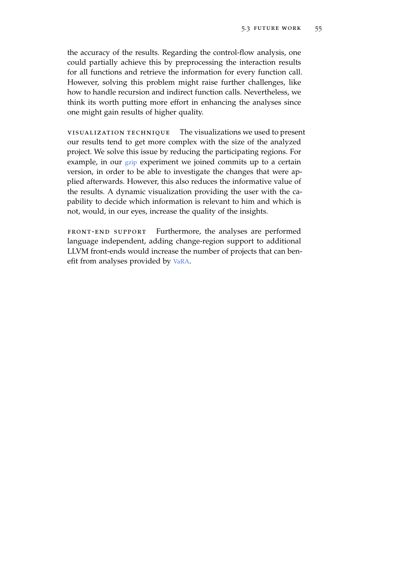the accuracy of the results. Regarding the control-flow analysis, one could partially achieve this by preprocessing the interaction results for all functions and retrieve the information for every function call. However, solving this problem might raise further challenges, like how to handle recursion and indirect function calls. Nevertheless, we think its worth putting more effort in enhancing the analyses since one might gain results of higher quality.

visualization technique The visualizations we used to present our results tend to get more complex with the size of the analyzed project. We solve this issue by reducing the participating regions. For example, in our [gzip](#page-10-5) experiment we joined commits up to a certain version, in order to be able to investigate the changes that were applied afterwards. However, this also reduces the informative value of the results. A dynamic visualization providing the user with the capability to decide which information is relevant to him and which is not, would, in our eyes, increase the quality of the insights.

front-end support Furthermore, the analyses are performed language independent, adding change-region support to additional LLVM front-ends would increase the number of projects that can benefit from analyses provided by [VaRA](#page-10-0).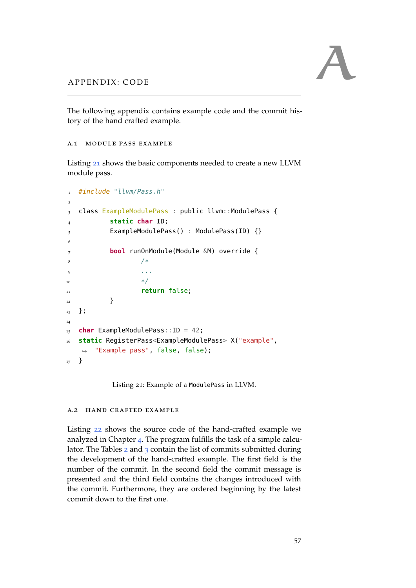The following appendix contains example code and the commit history of the hand crafted example.

```
a.1 module pass example
```
Listing [21](#page-68-0) shows the basic components needed to create a new LLVM module pass.

```
1 #include "llvm/Pass.h"
2
3 class ExampleModulePass : public llvm::ModulePass {
         4 static char ID;
5 ExampleModulePass() : ModulePass(ID) {}
6
7 bool runOnModule(Module &M) override {
8 /*9 ...
\frac{10}{ } */
11 return false;
12 }
13 };
14
15 char ExampleModulePass::ID = 42;
16 static RegisterPass<ExampleModulePass> X("example",
   ,→ "Example pass", false, false);
17 }
```
Listing 21: Example of a ModulePass in LLVM.

# a.2 hand crafted example

Listing [22](#page-69-0) shows the source code of the hand-crafted example we analyzed in Chapter [4](#page-42-1). The program fulfills the task of a simple calculator. The Tables [2](#page-70-0) and [3](#page-71-0) contain the list of commits submitted during the development of the hand-crafted example. The first field is the number of the commit. In the second field the commit message is presented and the third field contains the changes introduced with the commit. Furthermore, they are ordered beginning by the latest commit down to the first one.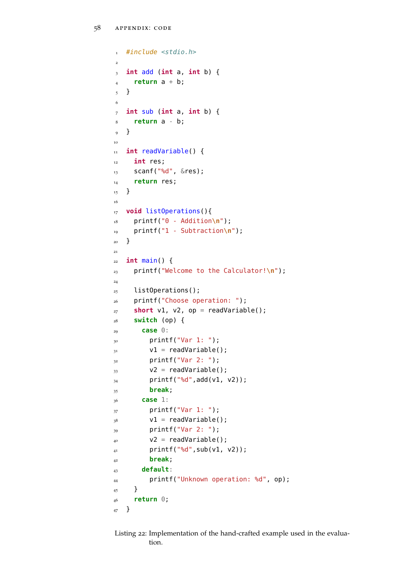```
#include <stdio.h>
2
3 int add (int a, int b) {
4 return a + b;
5 }
6
7 int sub (int a, int b) {
8 return a - b;
9 }
10
11 int readVariable() {
12 int res;
13 scanf("%d", &res);
14 return res;
15 }
16
17 void listOperations(){
18 printf("0 - Addition\n");
19 printf("1 - Subtraction\n");
20 }
21
_{22} int main() {
23 printf("Welcome to the Calculator!\n");
24
25 listOperations();
26 printf("Choose operation: ");
27 short v1, v2, op = readVariable();
28 switch (op) {
29 case 0:
30 printf("Var 1: ");
31 v1 = readVariable();
32 printf("Var 2: ");
v2 = readVariable();
_{34} printf("%d", add(v1, v2));
35 break;
36 case 1:
37 printf("Var 1: ");
v1 = readVariable();
_{39} printf("Var 2: ");
_{40} v2 = readVariable();
41 printf("%d", sub(v1, v2));
42 break;
43 default:
44 printf("Unknown operation: %d", op);
45 }
46 return 0;
47 }
```
Listing 22: Implementation of the hand-crafted example used in the evaluation.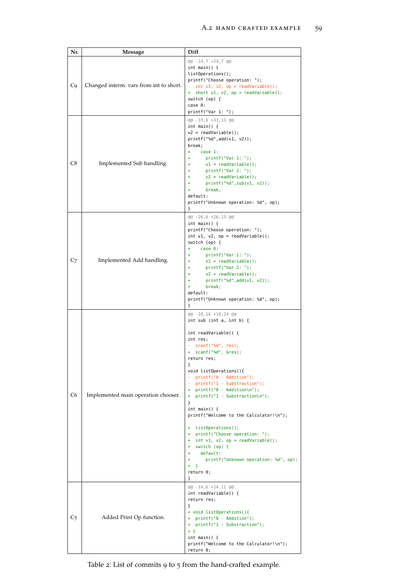<span id="page-70-5"></span><span id="page-70-4"></span><span id="page-70-1"></span><span id="page-70-0"></span>

| Nr. | Message                                 | Diff                                                                                                                                                                                                                                                                                                                                                                                                                                                                                                                                                                                                                  |
|-----|-----------------------------------------|-----------------------------------------------------------------------------------------------------------------------------------------------------------------------------------------------------------------------------------------------------------------------------------------------------------------------------------------------------------------------------------------------------------------------------------------------------------------------------------------------------------------------------------------------------------------------------------------------------------------------|
| C9  | Changed interm. vars from int to short. | $@@-24,7+24,7@@$<br>int main() $\{$<br>listOperations();<br>printf("Choose operation: ");<br>- int $v1$ , $v2$ , $op = readVariable()$ ;<br>+ short v1, v2, op = readVariable();<br>switch $(op)$ {<br>case 0:<br>printf("Var 1: ");                                                                                                                                                                                                                                                                                                                                                                                  |
| C8  | Implemented Sub handling.               | @@ -33,6 +33,13 @@<br>int main() $\{$<br>$v2 = readVariable()$ ;<br>printf("ed", add(v1, v2));<br>break;<br>$\ddot{}$<br>case 1:<br>print(f("Var 1: "));<br>$\ddot{}$<br>$v1 = readVariable()$ ;<br>$\ddot{}$<br>print(f("Var 2: ");<br>÷<br>$v2 = readVariable()$ ;<br>÷<br>printf("ed", sub(v1, v2));<br>$\ddot{}$<br>break;<br>$+$<br>default:<br>printf("Unknown operation: %d", op);<br><b>}</b>                                                                                                                                                                                                                 |
| C7  | Implemented Add handling.               | @@ -26,6 +26,13 @@<br>int main() $\{$<br>printf("Choose operation: ");<br>int $v1$ , $v2$ , $op = readVariable()$ ;<br>switch (op) {<br>case 0:<br>$+$<br>print(f("Var 1: ");<br>$\ddot{}$<br>$v1 = readVariable()$ ;<br>÷<br>printf("Var 2: ");<br>÷<br>$v2 = readVariable()$ ;<br>÷<br>printf("ed", add(v1, v2));<br>÷<br>break;<br>$\ddot{\phantom{1}}$<br>default:<br>printf("Unknown operation: %d", op);<br>}                                                                                                                                                                                                   |
| C6  | Implemented main operation chooser.     | $@@-10,16+10,24@@$<br>int sub (int $a$ , int $b$ ) {<br>int readVariable() {<br>int res;<br>- scanf("%d", res);<br>+ scanf("%d", &res);<br>return res;<br>}<br>void listOperations(){<br>- printf("0 - Addition");<br>- printf("1 - Substraction");<br>+ printf("0 - Addition\n");<br>+ printf("1 - Substraction\n");<br>}<br>int main() $\{$<br>printf("Welcome to the Calculator!\n");<br>+ listOperations();<br>+ printf("Choose operation: ");<br>+ int v1, v2, op = readVariable();<br>+ switch (op) {<br>default:<br>$+$<br>printf("Unknown operation: %d", op);<br>÷<br>$+$<br>$\rightarrow$<br>return 0;<br>} |
| C5  | Added Print Op function.                | @@ -14,6 +14,11 @@<br>int readVariable() {<br>return res;<br>}<br>+ void listOperations(){<br>+ printf("0 - Addition");<br>+ printf("1 - Substraction");<br>$+$ }<br>int main() $\{$<br>printf("Welcome to the Calculator!\n");<br>return 0;                                                                                                                                                                                                                                                                                                                                                                          |

<span id="page-70-3"></span><span id="page-70-2"></span>Table 2: List of commits 9 to 5 from the hand-crafted example.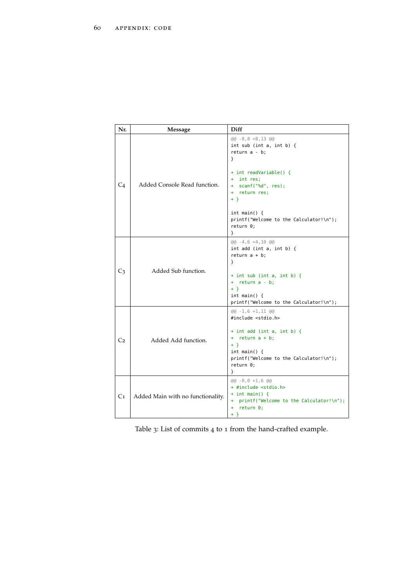<span id="page-71-4"></span><span id="page-71-3"></span><span id="page-71-0"></span>

| Nr.            | Message                           | Diff                                                                                                                                                                              |
|----------------|-----------------------------------|-----------------------------------------------------------------------------------------------------------------------------------------------------------------------------------|
| C <sub>4</sub> | Added Console Read function.      | $@@-8,8+8,13@@$<br>int sub (int $a$ , int $b$ ) {<br>return $a - b$ ;<br>ł<br>+ int readVariable() {                                                                              |
|                |                                   | + int res;<br>+ scanf("%d", res);<br>+ return res;<br>$+$ }                                                                                                                       |
|                |                                   | int main() $\{$<br>printf("Welcome to the Calculator!\n");<br>return 0;<br>ł                                                                                                      |
| C <sub>3</sub> | Added Sub function.               | $@@-4,6+4,10 @@$<br>$int add (int a, int b)$ {<br>return $a + b$ ;<br>ł                                                                                                           |
|                |                                   | $+$ int sub (int a, int b) {<br>+ return a - b;<br>$+$ }<br>int main() f<br>printf("Welcome to the Calculator!\n");                                                               |
| C <sub>2</sub> | Added Add function.               | $@@-1,6+1,11 @@$<br>#include <stdio.h><br/><math>+</math> int add (int a, int b) {</stdio.h>                                                                                      |
|                |                                   | + $return a + b;$<br>$+$ }<br>int main() $\{$<br>printf("Welcome to the Calculator!\n");<br>return 0;<br>ł                                                                        |
| C1             | Added Main with no functionality. | $(aa - 0, 0 + 1, 6, a)$<br>+ #include <stdio.h><br/><math>+</math> int main() {<br/>+ printf("Welcome to the Calculator!\n");<br/>return 0;<br/>÷.<br/><math>+</math> }</stdio.h> |

<span id="page-71-2"></span><span id="page-71-1"></span>Table 3: List of commits 4 to 1 from the hand-crafted example.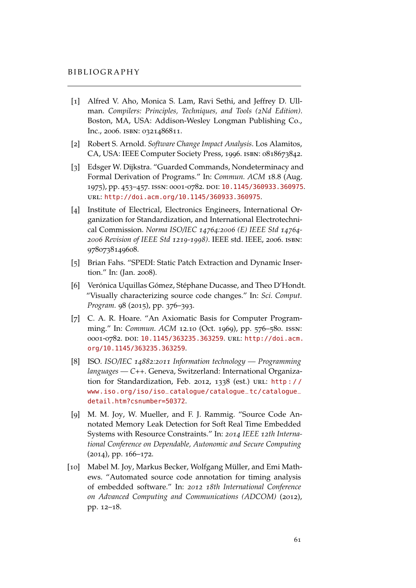## **BIBLIOGRAPHY**

- [1] Alfred V. Aho, Monica S. Lam, Ravi Sethi, and Jeffrey D. Ullman. *Compilers: Principles, Techniques, and Tools (2Nd Edition)*. Boston, MA, USA: Addison-Wesley Longman Publishing Co., Inc., 2006. isbn: 0321486811.
- [2] Robert S. Arnold. *Software Change Impact Analysis*. Los Alamitos, CA, USA: IEEE Computer Society Press, 1996. isbn: 0818673842.
- [3] Edsger W. Dijkstra. "Guarded Commands, Nondeterminacy and Formal Derivation of Programs." In: *Commun. ACM* 18.8 (Aug. 1975), pp. 453–457. issn: 0001-0782. doi: [10.1145/360933.360975](http://dx.doi.org/10.1145/360933.360975). url: <http://doi.acm.org/10.1145/360933.360975>.
- [4] Institute of Electrical, Electronics Engineers, International Organization for Standardization, and International Electrotechnical Commission. *Norma ISO/IEC 14764:2006 (E) IEEE Std 14764- 2006 Revision of IEEE Std 1219-1998)*. IEEE std. IEEE, 2006. isbn: 9780738149608.
- [5] Brian Fahs. "SPEDI: Static Patch Extraction and Dynamic Insertion." In: (Jan. 2008).
- [6] Verónica Uquillas Gómez, Stéphane Ducasse, and Theo D'Hondt. "Visually characterizing source code changes." In: *Sci. Comput. Program.* 98 (2015), pp. 376–393.
- [7] C. A. R. Hoare. "An Axiomatic Basis for Computer Programming." In: *Commun. ACM* 12.10 (Oct. 1969), pp. 576–580. issn: 0001-0782. doi: [10.1145/363235.363259](http://dx.doi.org/10.1145/363235.363259). url: [http://doi.acm.](http://doi.acm.org/10.1145/363235.363259) [org/10.1145/363235.363259](http://doi.acm.org/10.1145/363235.363259).
- [8] ISO. *ISO/IEC 14882:2011 Information technology Programming languages — C++*. Geneva, Switzerland: International Organization for Standardization, Feb. 2012, 1338 (est.) url: [http : / /](http://www.iso.org/iso/iso_catalogue/catalogue_tc/catalogue_detail.htm?csnumber=50372) [www.iso.org/iso/iso\\_catalogue/catalogue\\_tc/catalogue\\_](http://www.iso.org/iso/iso_catalogue/catalogue_tc/catalogue_detail.htm?csnumber=50372) [detail.htm?csnumber=50372](http://www.iso.org/iso/iso_catalogue/catalogue_tc/catalogue_detail.htm?csnumber=50372).
- [9] M. M. Joy, W. Mueller, and F. J. Rammig. "Source Code Annotated Memory Leak Detection for Soft Real Time Embedded Systems with Resource Constraints." In: *2014 IEEE 12th International Conference on Dependable, Autonomic and Secure Computing* (2014), pp. 166–172.
- [10] Mabel M. Joy, Markus Becker, Wolfgang Müller, and Emi Mathews. "Automated source code annotation for timing analysis of embedded software." In: *2012 18th International Conference on Advanced Computing and Communications (ADCOM)* (2012), pp. 12–18.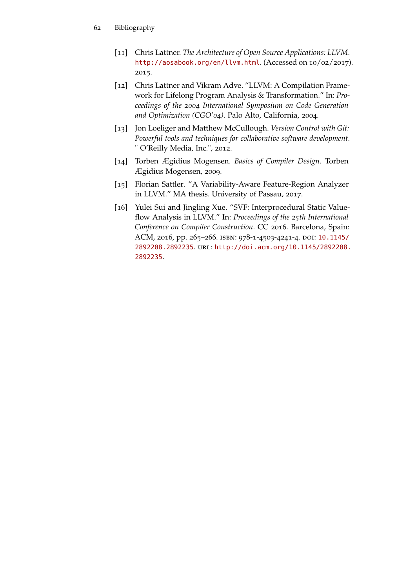- [11] Chris Lattner. *The Architecture of Open Source Applications: LLVM*. <http://aosabook.org/en/llvm.html>. (Accessed on 10/02/2017). 2015.
- [12] Chris Lattner and Vikram Adve. "LLVM: A Compilation Framework for Lifelong Program Analysis & Transformation." In: *Proceedings of the 2004 International Symposium on Code Generation and Optimization (CGO'04)*. Palo Alto, California, 2004.
- [13] Jon Loeliger and Matthew McCullough. *Version Control with Git: Powerful tools and techniques for collaborative software development*. " O'Reilly Media, Inc.", 2012.
- [14] Torben Ægidius Mogensen. *Basics of Compiler Design*. Torben Ægidius Mogensen, 2009.
- [15] Florian Sattler. "A Variability-Aware Feature-Region Analyzer in LLVM." MA thesis. University of Passau, 2017.
- [16] Yulei Sui and Jingling Xue. "SVF: Interprocedural Static Valueflow Analysis in LLVM." In: *Proceedings of the 25th International Conference on Compiler Construction*. CC 2016. Barcelona, Spain: ACM, 2016, pp. 265–266. isbn: 978-1-4503-4241-4. doi: [10.1145/](http://dx.doi.org/10.1145/2892208.2892235) [2892208.2892235](http://dx.doi.org/10.1145/2892208.2892235). url: [http://doi.acm.org/10.1145/2892208.](http://doi.acm.org/10.1145/2892208.2892235) [2892235](http://doi.acm.org/10.1145/2892208.2892235).